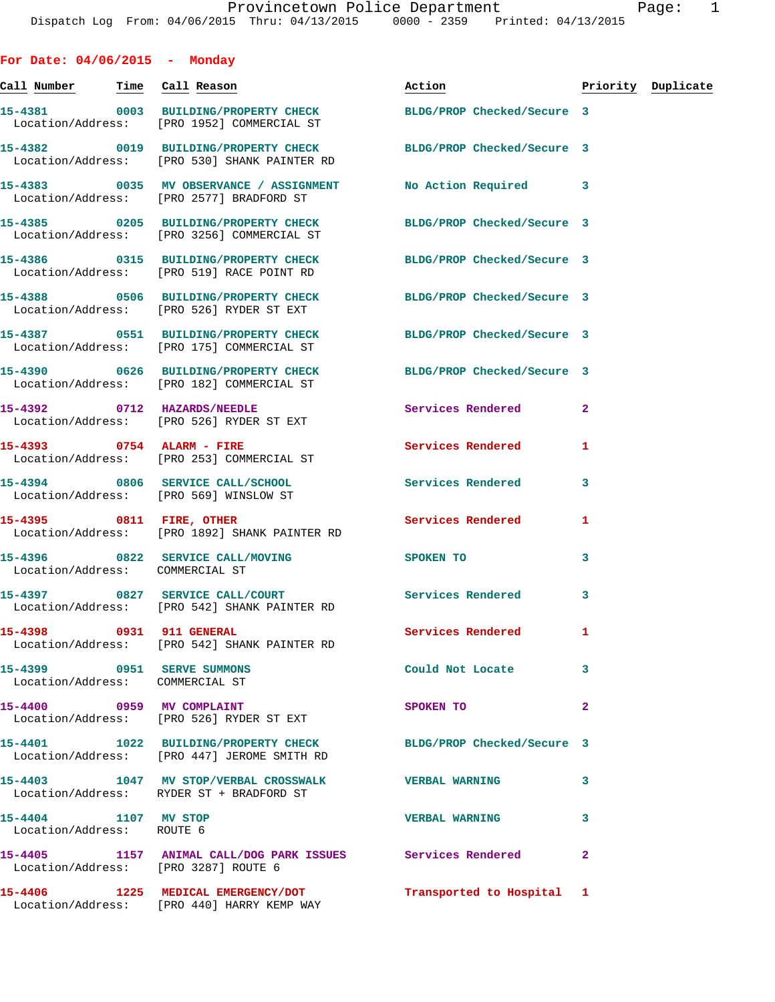| For Date: $04/06/2015$ - Monday                               |                                                                                                                 |                            |                         |                    |
|---------------------------------------------------------------|-----------------------------------------------------------------------------------------------------------------|----------------------------|-------------------------|--------------------|
|                                                               | <u>Call Number — Time Call Reason</u>                                                                           | Action                     |                         | Priority Duplicate |
|                                                               | 15-4381 0003 BUILDING/PROPERTY CHECK BLDG/PROP Checked/Secure 3<br>Location/Address: [PRO 1952] COMMERCIAL ST   |                            |                         |                    |
|                                                               | 15-4382 0019 BUILDING/PROPERTY CHECK BLDG/PROP Checked/Secure 3<br>Location/Address: [PRO 530] SHANK PAINTER RD |                            |                         |                    |
|                                                               | 15-4383 6035 MV OBSERVANCE / ASSIGNMENT No Action Required 3<br>Location/Address: [PRO 2577] BRADFORD ST        |                            |                         |                    |
|                                                               | 15-4385 0205 BUILDING/PROPERTY CHECK BLDG/PROP Checked/Secure 3<br>Location/Address: [PRO 3256] COMMERCIAL ST   |                            |                         |                    |
|                                                               | 15-4386  0315 BUILDING/PROPERTY CHECK BLDG/PROP Checked/Secure 3<br>Location/Address: [PRO 519] RACE POINT RD   |                            |                         |                    |
|                                                               | 15-4388 0506 BUILDING/PROPERTY CHECK BLDG/PROP Checked/Secure 3<br>Location/Address: [PRO 526] RYDER ST EXT     |                            |                         |                    |
|                                                               | 15-4387 0551 BUILDING/PROPERTY CHECK<br>Location/Address: [PRO 175] COMMERCIAL ST                               | BLDG/PROP Checked/Secure 3 |                         |                    |
|                                                               | 15-4390 0626 BUILDING/PROPERTY CHECK BLDG/PROP Checked/Secure 3<br>Location/Address: [PRO 182] COMMERCIAL ST    |                            |                         |                    |
|                                                               | 15-4392 0712 HAZARDS/NEEDLE<br>Location/Address: [PRO 526] RYDER ST EXT                                         | Services Rendered 2        |                         |                    |
|                                                               | 15-4393 0754 ALARM - FIRE<br>Location/Address: [PRO 253] COMMERCIAL ST                                          | <b>Services Rendered</b>   | 1                       |                    |
|                                                               | 15-4394 0806 SERVICE CALL/SCHOOL 5 Services Rendered<br>Location/Address: [PRO 569] WINSLOW ST                  |                            | 3                       |                    |
|                                                               | 15-4395 0811 FIRE, OTHER<br>Location/Address: [PRO 1892] SHANK PAINTER RD                                       | Services Rendered          | 1                       |                    |
| Location/Address: COMMERCIAL ST                               | 15-4396 0822 SERVICE CALL/MOVING SPOKEN TO                                                                      |                            | 3                       |                    |
|                                                               | 15-4397 0827 SERVICE CALL/COURT Services Rendered<br>Location/Address: [PRO 542] SHANK PAINTER RD               |                            | 3                       |                    |
| 15-4398 0931 911 GENERAL                                      | Location/Address: [PRO 542] SHANK PAINTER RD                                                                    | Services Rendered          | 1                       |                    |
| 15-4399 0951 SERVE SUMMONS<br>Location/Address: COMMERCIAL ST |                                                                                                                 | Could Not Locate           | 3                       |                    |
| 15-4400 0959 MV COMPLAINT                                     | Location/Address: [PRO 526] RYDER ST EXT                                                                        | SPOKEN TO                  | $\overline{\mathbf{2}}$ |                    |
|                                                               | 15-4401 1022 BUILDING/PROPERTY CHECK BLDG/PROP Checked/Secure 3<br>Location/Address: [PRO 447] JEROME SMITH RD  |                            |                         |                    |
|                                                               | 15-4403 1047 MV STOP/VERBAL CROSSWALK VERBAL WARNING<br>Location/Address: RYDER ST + BRADFORD ST                |                            | 3                       |                    |
| 15-4404 1107 MV STOP<br>Location/Address: ROUTE 6             |                                                                                                                 | <b>VERBAL WARNING</b>      | 3                       |                    |
|                                                               | 15-4405 1157 ANIMAL CALL/DOG PARK ISSUES Services Rendered<br>Location/Address: [PRO 3287] ROUTE 6              |                            | $\overline{a}$          |                    |
|                                                               | 15-4406 1225 MEDICAL EMERGENCY/DOT<br>Location/Address: [PRO 440] HARRY KEMP WAY                                | Transported to Hospital 1  |                         |                    |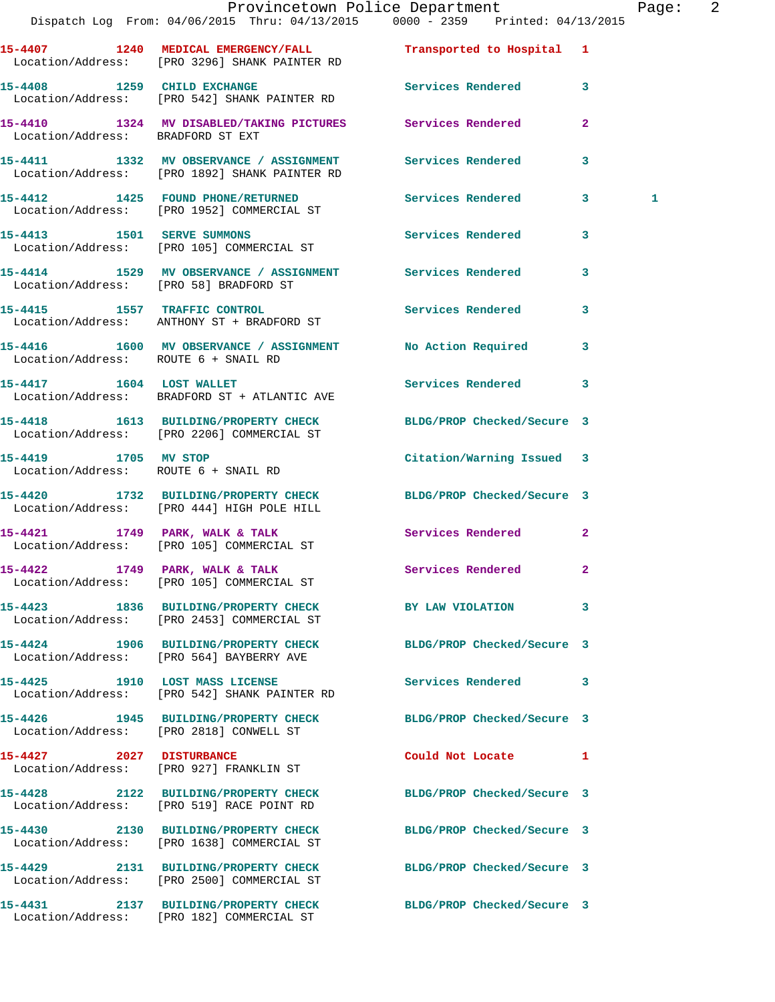|                                      |                                                                                                            | Provincetown Police Department<br>Dispatch Log From: 04/06/2015 Thru: 04/13/2015 0000 - 2359 Printed: 04/13/2015 | Page: 2      |
|--------------------------------------|------------------------------------------------------------------------------------------------------------|------------------------------------------------------------------------------------------------------------------|--------------|
|                                      | Location/Address: [PRO 3296] SHANK PAINTER RD                                                              | 15-4407 1240 MEDICAL EMERGENCY/FALL <b>Transported</b> to Hospital 1                                             |              |
|                                      | Location/Address: [PRO 542] SHANK PAINTER RD                                                               | 15-4408 1259 CHILD EXCHANGE 3 Services Rendered 3                                                                |              |
|                                      | 15-4410 1324 MV DISABLED/TAKING PICTURES Services Rendered<br>Location/Address: BRADFORD ST EXT            | $\mathbf{2}$                                                                                                     |              |
|                                      | 15-4411 1332 MV OBSERVANCE / ASSIGNMENT Services Rendered<br>Location/Address: [PRO 1892] SHANK PAINTER RD | $\overline{\mathbf{3}}$                                                                                          |              |
|                                      | 15-4412 1425 FOUND PHONE/RETURNED<br>Location/Address: [PRO 1952] COMMERCIAL ST                            | Services Rendered 3                                                                                              | $\mathbf{1}$ |
|                                      | 15-4413 1501 SERVE SUMMONS<br>Location/Address: [PRO 105] COMMERCIAL ST                                    | Services Rendered 3                                                                                              |              |
|                                      | Location/Address: [PRO 58] BRADFORD ST                                                                     | 15-4414 1529 MV OBSERVANCE / ASSIGNMENT Services Rendered 3                                                      |              |
|                                      | 15-4415 1557 TRAFFIC CONTROL<br>Location/Address: ANTHONY ST + BRADFORD ST                                 | Services Rendered 3                                                                                              |              |
|                                      | Location/Address: ROUTE 6 + SNAIL RD                                                                       | 15-4416 1600 MV OBSERVANCE / ASSIGNMENT No Action Required 3                                                     |              |
|                                      | 15-4417 1604 LOST WALLET<br>Location/Address: BRADFORD ST + ATLANTIC AVE                                   | Services Rendered 3                                                                                              |              |
|                                      | Location/Address: [PRO 2206] COMMERCIAL ST                                                                 | 15-4418 1613 BUILDING/PROPERTY CHECK BLDG/PROP Checked/Secure 3                                                  |              |
| Location/Address: ROUTE 6 + SNAIL RD | 15-4419 1705 MV STOP                                                                                       | Citation/Warning Issued 3                                                                                        |              |
|                                      | Location/Address: [PRO 444] HIGH POLE HILL                                                                 | 15-4420 1732 BUILDING/PROPERTY CHECK BLDG/PROP Checked/Secure 3                                                  |              |
|                                      | 15-4421 1749 PARK, WALK & TALK<br>Location/Address: [PRO 105] COMMERCIAL ST                                | Services Rendered 2                                                                                              |              |
|                                      | 15-4422 1749 PARK, WALK & TALK<br>Location/Address: [PRO 105] COMMERCIAL ST                                | Services Rendered 2                                                                                              |              |
|                                      | Location/Address: [PRO 2453] COMMERCIAL ST                                                                 | 15-4423 1836 BUILDING/PROPERTY CHECK BY LAW VIOLATION 3                                                          |              |
|                                      | 15-4424 1906 BUILDING/PROPERTY CHECK<br>Location/Address: [PRO 564] BAYBERRY AVE                           | BLDG/PROP Checked/Secure 3                                                                                       |              |
|                                      | 15-4425 1910 LOST MASS LICENSE<br>Location/Address: [PRO 542] SHANK PAINTER RD                             | Services Rendered 3                                                                                              |              |
|                                      | Location/Address: [PRO 2818] CONWELL ST                                                                    | 15-4426 1945 BUILDING/PROPERTY CHECK BLDG/PROP Checked/Secure 3                                                  |              |
|                                      | 15-4427 2027 DISTURBANCE<br>Location/Address: [PRO 927] FRANKLIN ST                                        | Could Not Locate 1                                                                                               |              |
|                                      | Location/Address: [PRO 519] RACE POINT RD                                                                  | 15-4428 2122 BUILDING/PROPERTY CHECK BLDG/PROP Checked/Secure 3                                                  |              |
|                                      | 15-4430 2130 BUILDING/PROPERTY CHECK<br>Location/Address: [PRO 1638] COMMERCIAL ST                         | BLDG/PROP Checked/Secure 3                                                                                       |              |
|                                      | Location/Address: [PRO 2500] COMMERCIAL ST                                                                 | 15-4429 2131 BUILDING/PROPERTY CHECK BLDG/PROP Checked/Secure 3                                                  |              |
|                                      |                                                                                                            | 15-4431 2137 BUILDING/PROPERTY CHECK BLDG/PROP Checked/Secure 3                                                  |              |

Location/Address: [PRO 182] COMMERCIAL ST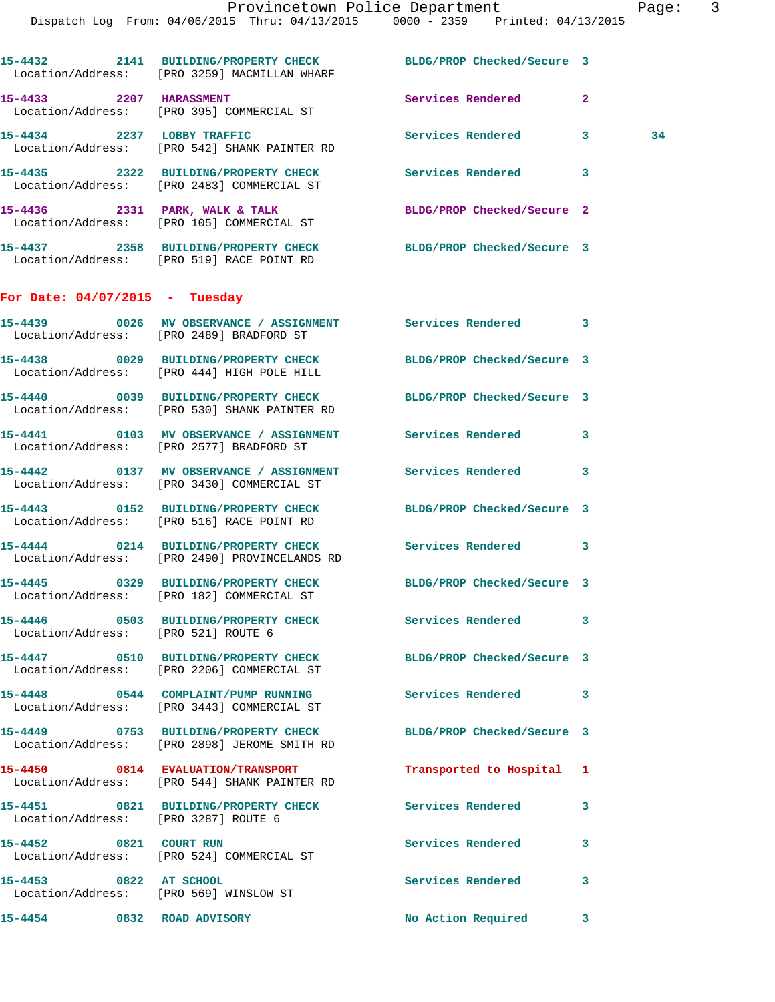|                                  | 15-4432 2141 BUILDING/PROPERTY CHECK BLDG/PROP Checked/Secure 3<br>Location/Address: [PRO 3259] MACMILLAN WHARF |                            |              |    |
|----------------------------------|-----------------------------------------------------------------------------------------------------------------|----------------------------|--------------|----|
| 15-4433 2207 HARASSMENT          | Location/Address: [PRO 395] COMMERCIAL ST                                                                       | Services Rendered          | $\mathbf{2}$ |    |
|                                  | 15-4434 2237 LOBBY TRAFFIC<br>Location/Address: [PRO 542] SHANK PAINTER RD                                      | Services Rendered          | $\mathbf{3}$ | 34 |
|                                  | 15-4435 2322 BUILDING/PROPERTY CHECK<br>Location/Address: [PRO 2483] COMMERCIAL ST                              | Services Rendered 3        |              |    |
|                                  | 15-4436 2331 PARK, WALK & TALK<br>Location/Address: [PRO 105] COMMERCIAL ST                                     | BLDG/PROP Checked/Secure 2 |              |    |
|                                  | 15-4437 2358 BUILDING/PROPERTY CHECK<br>Location/Address: [PRO 519] RACE POINT RD                               | BLDG/PROP Checked/Secure 3 |              |    |
| For Date: $04/07/2015$ - Tuesday |                                                                                                                 |                            |              |    |
|                                  | 15-4439 6026 MV OBSERVANCE / ASSIGNMENT Services Rendered 3<br>Location/Address: [PRO 2489] BRADFORD ST         |                            |              |    |
|                                  | 15-4438 0029 BUILDING/PROPERTY CHECK<br>Location/Address: [PRO 444] HIGH POLE HILL                              | BLDG/PROP Checked/Secure 3 |              |    |
|                                  | 15-4440 0039 BUILDING/PROPERTY CHECK<br>Location/Address: [PRO 530] SHANK PAINTER RD                            | BLDG/PROP Checked/Secure 3 |              |    |
|                                  | Location/Address: [PRO 2577] BRADFORD ST                                                                        |                            |              |    |
|                                  | 15-4442 0137 MV OBSERVANCE / ASSIGNMENT Services Rendered<br>Location/Address: [PRO 3430] COMMERCIAL ST         |                            | 3            |    |
|                                  | 15-4443 0152 BUILDING/PROPERTY CHECK BLDG/PROP Checked/Secure 3<br>Location/Address: [PRO 516] RACE POINT RD    |                            |              |    |
|                                  | 15-4444 0214 BUILDING/PROPERTY CHECK Services Rendered<br>Location/Address: [PRO 2490] PROVINCELANDS RD         |                            | 3            |    |
|                                  | 15-4445 0329 BUILDING/PROPERTY CHECK BLDG/PROP Checked/Secure 3<br>Location/Address: [PRO 182] COMMERCIAL ST    |                            |              |    |
|                                  | 15-4446 0503 BUILDING/PROPERTY CHECK<br>Location/Address: [PRO 521] ROUTE 6                                     | Services Rendered          | 3            |    |
|                                  | 15-4447 0510 BUILDING/PROPERTY CHECK<br>Location/Address: [PRO 2206] COMMERCIAL ST                              | BLDG/PROP Checked/Secure 3 |              |    |
|                                  | 15-4448 0544 COMPLAINT/PUMP RUNNING<br>Location/Address: [PRO 3443] COMMERCIAL ST                               | <b>Services Rendered</b>   | 3            |    |
|                                  | 15-4449 0753 BUILDING/PROPERTY CHECK<br>Location/Address: [PRO 2898] JEROME SMITH RD                            | BLDG/PROP Checked/Secure 3 |              |    |
|                                  | 15-4450 0814 EVALUATION/TRANSPORT<br>Location/Address: [PRO 544] SHANK PAINTER RD                               | Transported to Hospital 1  |              |    |
|                                  | 15-4451 0821 BUILDING/PROPERTY CHECK<br>Location/Address: [PRO 3287] ROUTE 6                                    | Services Rendered          | 3            |    |
|                                  | 15-4452 0821 COURT RUN<br>Location/Address: [PRO 524] COMMERCIAL ST                                             | <b>Services Rendered</b>   | 3            |    |
| 15-4453 0822 AT SCHOOL           | Location/Address: [PRO 569] WINSLOW ST                                                                          | Services Rendered          | 3            |    |
| 15-4454 0832 ROAD ADVISORY       |                                                                                                                 | No Action Required         | 3            |    |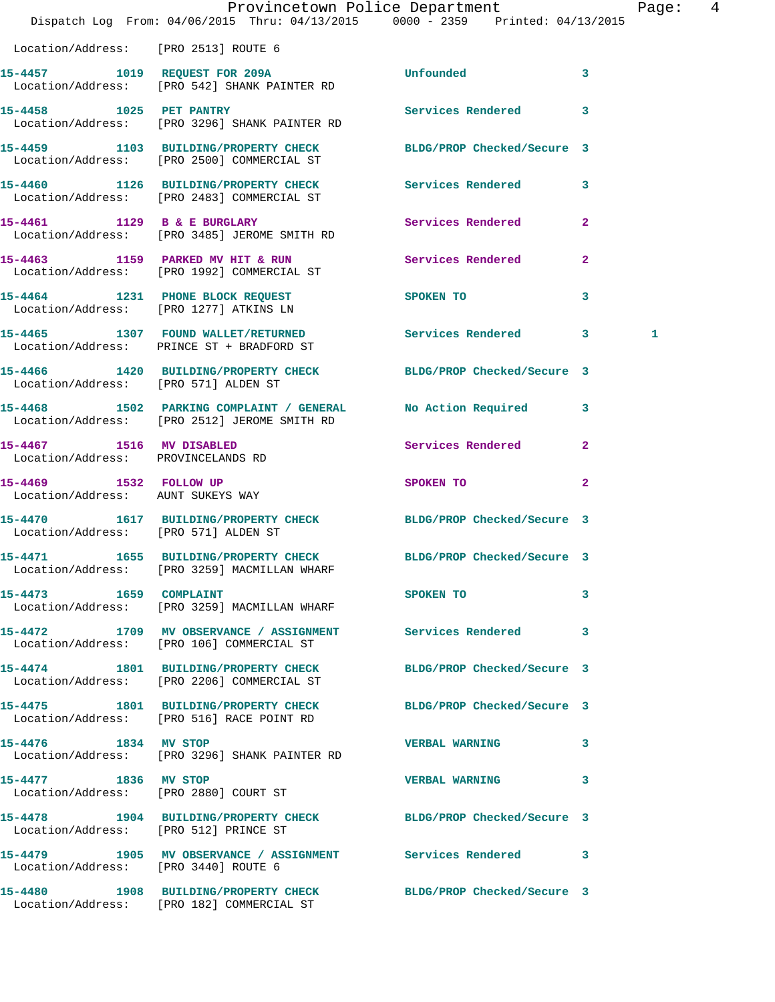|                                                                | Dispatch Log From: 04/06/2015 Thru: 04/13/2015 0000 - 2359 Printed: 04/13/2015                                  | Provincetown Police Department                                                                                                                                                                                                | Page: 4        |  |
|----------------------------------------------------------------|-----------------------------------------------------------------------------------------------------------------|-------------------------------------------------------------------------------------------------------------------------------------------------------------------------------------------------------------------------------|----------------|--|
| Location/Address: [PRO 2513] ROUTE 6                           |                                                                                                                 |                                                                                                                                                                                                                               |                |  |
|                                                                | 15-4457 1019 REQUEST FOR 209A<br>Location/Address: [PRO 542] SHANK PAINTER RD                                   | Unfounded 3                                                                                                                                                                                                                   |                |  |
|                                                                | 15-4458 1025 PET PANTRY<br>Location/Address: [PRO 3296] SHANK PAINTER RD                                        | Services Rendered 3                                                                                                                                                                                                           |                |  |
|                                                                | 15-4459 1103 BUILDING/PROPERTY CHECK BLDG/PROP Checked/Secure 3<br>Location/Address: [PRO 2500] COMMERCIAL ST   |                                                                                                                                                                                                                               |                |  |
|                                                                | 15-4460 1126 BUILDING/PROPERTY CHECK Services Rendered 3<br>Location/Address: [PRO 2483] COMMERCIAL ST          |                                                                                                                                                                                                                               |                |  |
|                                                                | 15-4461 1129 B & E BURGLARY<br>Location/Address: [PRO 3485] JEROME SMITH RD                                     | Services Rendered 2                                                                                                                                                                                                           |                |  |
|                                                                | 15-4463 1159 PARKED MV HIT & RUN Services Rendered 2<br>Location/Address: [PRO 1992] COMMERCIAL ST              |                                                                                                                                                                                                                               |                |  |
|                                                                | 15-4464 1231 PHONE BLOCK REQUEST<br>Location/Address: [PRO 1277] ATKINS LN                                      | SPOKEN TO THE STATE OF THE STATE OF THE STATE OF THE STATE OF THE STATE OF THE STATE OF THE STATE OF THE STATE OF THE STATE OF THE STATE OF THE STATE OF THE STATE OF THE STATE OF THE STATE OF THE STATE OF THE STATE OF THE | 3              |  |
|                                                                | 15-4465 1307 FOUND WALLET/RETURNED Services Rendered 3<br>Location/Address: PRINCE ST + BRADFORD ST             |                                                                                                                                                                                                                               | 1              |  |
|                                                                | 15-4466 1420 BUILDING/PROPERTY CHECK BLDG/PROP Checked/Secure 3<br>Location/Address: [PRO 571] ALDEN ST         |                                                                                                                                                                                                                               |                |  |
|                                                                | 15-4468 1502 PARKING COMPLAINT / GENERAL No Action Required 3<br>Location/Address: [PRO 2512] JEROME SMITH RD   |                                                                                                                                                                                                                               |                |  |
| 15-4467 1516 MV DISABLED<br>Location/Address: PROVINCELANDS RD |                                                                                                                 | Services Rendered 2                                                                                                                                                                                                           |                |  |
| Location/Address: AUNT SUKEYS WAY                              | 15-4469 1532 FOLLOW UP                                                                                          | SPOKEN TO                                                                                                                                                                                                                     | $\overline{2}$ |  |
| Location/Address: [PRO 571] ALDEN ST                           | 15-4470 1617 BUILDING/PROPERTY CHECK BLDG/PROP Checked/Secure 3                                                 |                                                                                                                                                                                                                               |                |  |
|                                                                | 15-4471 1655 BUILDING/PROPERTY CHECK BLDG/PROP Checked/Secure 3<br>Location/Address: [PRO 3259] MACMILLAN WHARF |                                                                                                                                                                                                                               |                |  |
|                                                                | 15-4473 1659 COMPLAINT<br>Location/Address: [PRO 3259] MACMILLAN WHARF                                          | SPOKEN TO                                                                                                                                                                                                                     | 3              |  |
|                                                                | 15-4472 1709 MV OBSERVANCE / ASSIGNMENT Services Rendered 3<br>Location/Address: [PRO 106] COMMERCIAL ST        |                                                                                                                                                                                                                               |                |  |
|                                                                | 15-4474 1801 BUILDING/PROPERTY CHECK<br>Location/Address: [PRO 2206] COMMERCIAL ST                              | BLDG/PROP Checked/Secure 3                                                                                                                                                                                                    |                |  |
|                                                                | 15-4475 1801 BUILDING/PROPERTY CHECK BLDG/PROP Checked/Secure 3<br>Location/Address: [PRO 516] RACE POINT RD    |                                                                                                                                                                                                                               |                |  |
| 15-4476 1834 MV STOP                                           | Location/Address: [PRO 3296] SHANK PAINTER RD                                                                   | <b>VERBAL WARNING</b>                                                                                                                                                                                                         | 3              |  |
| 15-4477 1836 MV STOP                                           | Location/Address: [PRO 2880] COURT ST                                                                           | <b>VERBAL WARNING</b>                                                                                                                                                                                                         | 3              |  |
| Location/Address: [PRO 512] PRINCE ST                          | 15-4478 1904 BUILDING/PROPERTY CHECK BLDG/PROP Checked/Secure 3                                                 |                                                                                                                                                                                                                               |                |  |
| Location/Address: [PRO 3440] ROUTE 6                           | 15-4479 1905 MV OBSERVANCE / ASSIGNMENT Services Rendered 3                                                     |                                                                                                                                                                                                                               |                |  |
|                                                                | 15-4480 1908 BUILDING/PROPERTY CHECK BLDG/PROP Checked/Secure 3<br>Location/Address: [PRO 182] COMMERCIAL ST    |                                                                                                                                                                                                                               |                |  |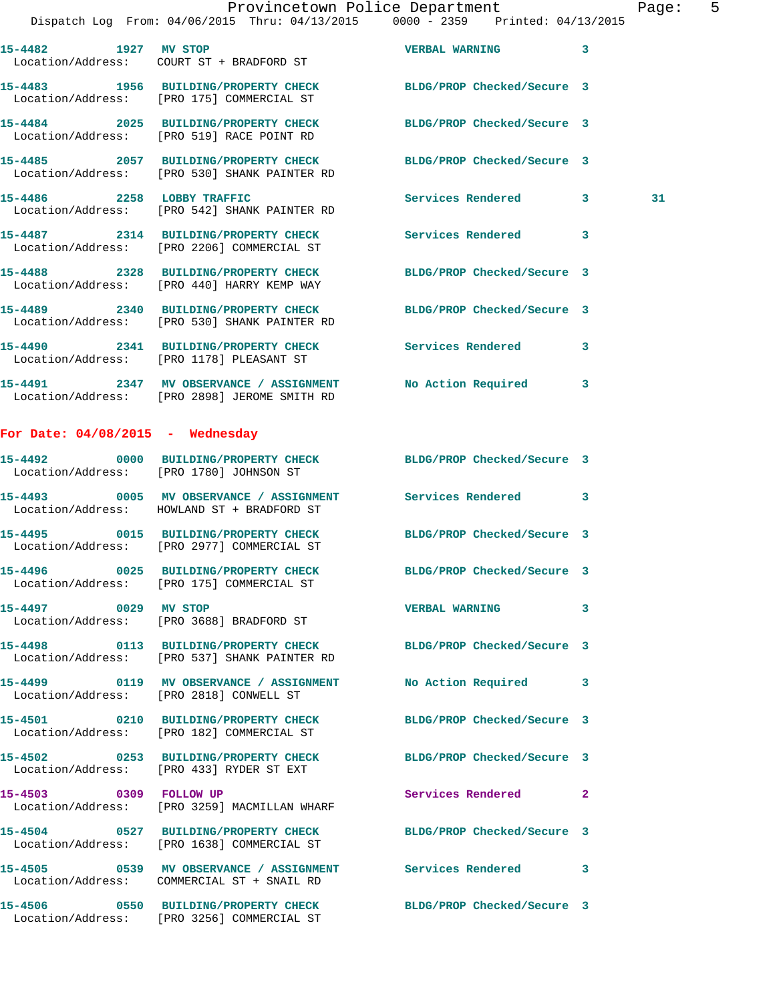## Provincetown Police Department Page: 5 Dispatch Log From: 04/06/2015 Thru: 04/13/2015 0000 - 2359 Printed: 04/13/2015 **15-4482 1927 MV STOP VERBAL WARNING 3**  Location/Address: COURT ST + BRADFORD ST **15-4483 1956 BUILDING/PROPERTY CHECK BLDG/PROP Checked/Secure 3**  Location/Address: [PRO 175] COMMERCIAL ST **15-4484 2025 BUILDING/PROPERTY CHECK BLDG/PROP Checked/Secure 3**  Location/Address: [PRO 519] RACE POINT RD **15-4485 2057 BUILDING/PROPERTY CHECK BLDG/PROP Checked/Secure 3**  Location/Address: [PRO 530] SHANK PAINTER RD **15-4486 2258 LOBBY TRAFFIC Services Rendered 3 31**  Location/Address: [PRO 542] SHANK PAINTER RD **15-4487 2314 BUILDING/PROPERTY CHECK Services Rendered 3**  Location/Address: [PRO 2206] COMMERCIAL ST **15-4488 2328 BUILDING/PROPERTY CHECK BLDG/PROP Checked/Secure 3**  Location/Address: [PRO 440] HARRY KEMP WAY **15-4489 2340 BUILDING/PROPERTY CHECK BLDG/PROP Checked/Secure 3**  Location/Address: [PRO 530] SHANK PAINTER RD **15-4490 2341 BUILDING/PROPERTY CHECK Services Rendered 3**  Location/Address: [PRO 1178] PLEASANT ST **15-4491 2347 MV OBSERVANCE / ASSIGNMENT No Action Required 3**  Location/Address: [PRO 2898] JEROME SMITH RD **For Date: 04/08/2015 - Wednesday 15-4492 0000 BUILDING/PROPERTY CHECK BLDG/PROP Checked/Secure 3**  Location/Address: [PRO 1780] JOHNSON ST **15-4493 0005 MV OBSERVANCE / ASSIGNMENT Services Rendered 3**  Location/Address: HOWLAND ST + BRADFORD ST **15-4495 0015 BUILDING/PROPERTY CHECK BLDG/PROP Checked/Secure 3**  Location/Address: [PRO 2977] COMMERCIAL ST **15-4496 0025 BUILDING/PROPERTY CHECK BLDG/PROP Checked/Secure 3**  [PRO 175] COMMERCIAL ST **15-4497 0029 MV STOP VERBAL WARNING 3**  Location/Address: [PRO 3688] BRADFORD ST **15-4498 0113 BUILDING/PROPERTY CHECK BLDG/PROP Checked/Secure 3**  Location/Address: [PRO 537] SHANK PAINTER RD **15-4499 0119 MV OBSERVANCE / ASSIGNMENT No Action Required 3**  Location/Address: [PRO 2818] CONWELL ST **15-4501 0210 BUILDING/PROPERTY CHECK BLDG/PROP Checked/Secure 3**  Location/Address: [PRO 182] COMMERCIAL ST

Location/Address: [PRO 433] RYDER ST EXT

Location/Address: [PRO 3259] MACMILLAN WHARF

Location/Address: [PRO 1638] COMMERCIAL ST

Location/Address: COMMERCIAL ST + SNAIL RD

**15-4506 0550 BUILDING/PROPERTY CHECK BLDG/PROP Checked/Secure 3**  Location/Address: [PRO 3256] COMMERCIAL ST

**15-4502 0253 BUILDING/PROPERTY CHECK BLDG/PROP Checked/Secure 3 15-4503 0309 FOLLOW UP Services Rendered 2** 

**15-4504 0527 BUILDING/PROPERTY CHECK BLDG/PROP Checked/Secure 3** 

**15-4505 0539 MV OBSERVANCE / ASSIGNMENT Services Rendered 3**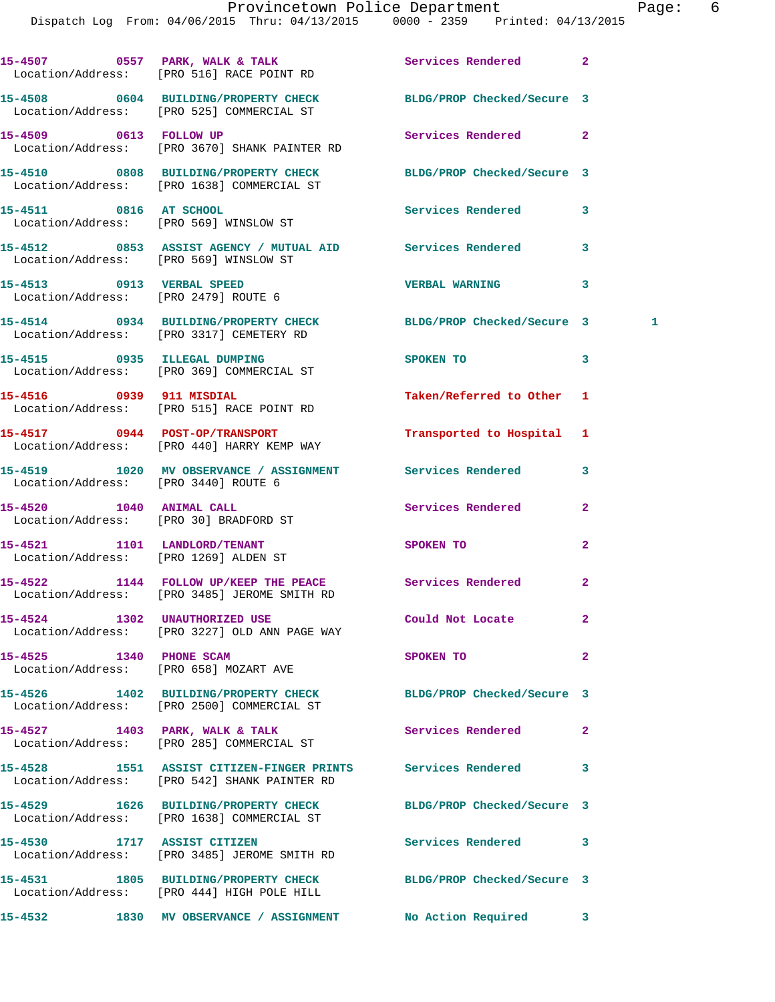|                                        | 15-4507 0557 PARK, WALK & TALK Services Rendered<br>Location/Address: [PRO 516] RACE POINT RD                 |                            | $\overline{2}$ |   |
|----------------------------------------|---------------------------------------------------------------------------------------------------------------|----------------------------|----------------|---|
|                                        | 15-4508 0604 BUILDING/PROPERTY CHECK BLDG/PROP Checked/Secure 3<br>Location/Address: [PRO 525] COMMERCIAL ST  |                            |                |   |
| 15-4509 0613 FOLLOW UP                 | Location/Address: [PRO 3670] SHANK PAINTER RD                                                                 | Services Rendered          | $\mathbf{2}$   |   |
|                                        | 15-4510 0808 BUILDING/PROPERTY CHECK BLDG/PROP Checked/Secure 3<br>Location/Address: [PRO 1638] COMMERCIAL ST |                            |                |   |
| 15-4511 0816 AT SCHOOL                 | Location/Address: [PRO 569] WINSLOW ST                                                                        | Services Rendered          | 3              |   |
| Location/Address: [PRO 569] WINSLOW ST | 15-4512 0853 ASSIST AGENCY / MUTUAL AID Services Rendered                                                     |                            | 3              |   |
| 15-4513 0913 VERBAL SPEED              | Location/Address: [PRO 2479] ROUTE 6                                                                          | <b>VERBAL WARNING</b>      | 3              |   |
|                                        | 15-4514 0934 BUILDING/PROPERTY CHECK BLDG/PROP Checked/Secure 3<br>Location/Address: [PRO 3317] CEMETERY RD   |                            |                | 1 |
|                                        | 15-4515 0935 ILLEGAL DUMPING<br>Location/Address: [PRO 369] COMMERCIAL ST                                     | SPOKEN TO                  | 3              |   |
| 15-4516 0939 911 MISDIAL               | Location/Address: [PRO 515] RACE POINT RD                                                                     | Taken/Referred to Other 1  |                |   |
|                                        | 15-4517 0944 POST-OP/TRANSPORT<br>Location/Address: [PRO 440] HARRY KEMP WAY                                  | Transported to Hospital    | 1              |   |
| Location/Address: [PRO 3440] ROUTE 6   | 15-4519 1020 MV OBSERVANCE / ASSIGNMENT Services Rendered                                                     |                            | 3              |   |
| 15-4520 1040 ANIMAL CALL               | Location/Address: [PRO 30] BRADFORD ST                                                                        | Services Rendered          | $\mathbf{2}$   |   |
| 15-4521 1101 LANDLORD/TENANT           | Location/Address: [PRO 1269] ALDEN ST                                                                         | SPOKEN TO                  | $\mathbf{2}$   |   |
|                                        | 15-4522 1144 FOLLOW UP/KEEP THE PEACE Services Rendered<br>Location/Address: [PRO 3485] JEROME SMITH RD       |                            | $\overline{2}$ |   |
|                                        | 15-4524 1302 UNAUTHORIZED USE<br>Location/Address: [PRO 3227] OLD ANN PAGE WAY                                | Could Not Locate           |                |   |
| 15-4525 1340 PHONE SCAM                | Location/Address: [PRO 658] MOZART AVE                                                                        | SPOKEN TO                  | $\mathbf{2}$   |   |
|                                        | 15-4526 1402 BUILDING/PROPERTY CHECK BLDG/PROP Checked/Secure 3<br>Location/Address: [PRO 2500] COMMERCIAL ST |                            |                |   |
|                                        | 15-4527 1403 PARK, WALK & TALK<br>Location/Address: [PRO 285] COMMERCIAL ST                                   | Services Rendered          | $\mathbf{2}$   |   |
|                                        | 15-4528 1551 ASSIST CITIZEN-FINGER PRINTS Services Rendered<br>Location/Address: [PRO 542] SHANK PAINTER RD   |                            | 3              |   |
|                                        | 15-4529 1626 BUILDING/PROPERTY CHECK<br>Location/Address: [PRO 1638] COMMERCIAL ST                            | BLDG/PROP Checked/Secure 3 |                |   |
| 15-4530 1717 ASSIST CITIZEN            | Location/Address: [PRO 3485] JEROME SMITH RD                                                                  | Services Rendered          | 3              |   |
|                                        | 15-4531 1805 BUILDING/PROPERTY CHECK<br>Location/Address: [PRO 444] HIGH POLE HILL                            | BLDG/PROP Checked/Secure 3 |                |   |
|                                        |                                                                                                               |                            |                |   |

**15-4532 1830 MV OBSERVANCE / ASSIGNMENT No Action Required 3**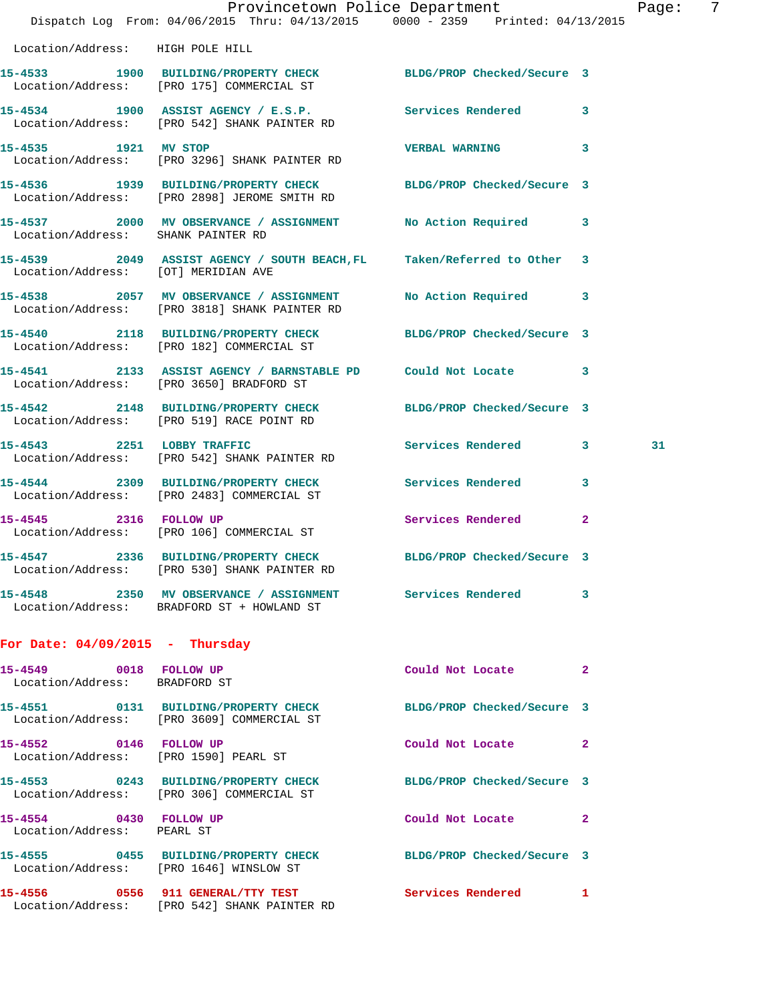|                                                                 | Provincetown Police Department<br>Dispatch Log From: 04/06/2015 Thru: 04/13/2015 0000 - 2359 Printed: 04/13/2015 |                            |              | 7<br>Page: |
|-----------------------------------------------------------------|------------------------------------------------------------------------------------------------------------------|----------------------------|--------------|------------|
| Location/Address: HIGH POLE HILL                                |                                                                                                                  |                            |              |            |
|                                                                 | 15-4533 1900 BUILDING/PROPERTY CHECK BLDG/PROP Checked/Secure 3<br>Location/Address: [PRO 175] COMMERCIAL ST     |                            |              |            |
|                                                                 | 15-4534 1900 ASSIST AGENCY / E.S.P. Services Rendered 3<br>Location/Address: [PRO 542] SHANK PAINTER RD          |                            |              |            |
| 15-4535 1921 MV STOP                                            | Location/Address: [PRO 3296] SHANK PAINTER RD                                                                    | VERBAL WARNING 3           |              |            |
|                                                                 | 15-4536 1939 BUILDING/PROPERTY CHECK BLDG/PROP Checked/Secure 3<br>Location/Address: [PRO 2898] JEROME SMITH RD  |                            |              |            |
| Location/Address: SHANK PAINTER RD                              | 15-4537 2000 MV OBSERVANCE / ASSIGNMENT No Action Required 3                                                     |                            |              |            |
| Location/Address: [OT] MERIDIAN AVE                             | 15-4539 2049 ASSIST AGENCY / SOUTH BEACH, FL Taken/Referred to Other 3                                           |                            |              |            |
|                                                                 | 15-4538 2057 MV OBSERVANCE / ASSIGNMENT<br>Location/Address: [PRO 3818] SHANK PAINTER RD                         | No Action Required 3       |              |            |
|                                                                 | 15-4540 2118 BUILDING/PROPERTY CHECK BLDG/PROP Checked/Secure 3<br>Location/Address: [PRO 182] COMMERCIAL ST     |                            |              |            |
|                                                                 | 15-4541 2133 ASSIST AGENCY / BARNSTABLE PD Could Not Locate 3<br>Location/Address: [PRO 3650] BRADFORD ST        |                            |              |            |
|                                                                 | 15-4542 2148 BUILDING/PROPERTY CHECK BLDG/PROP Checked/Secure 3<br>Location/Address: [PRO 519] RACE POINT RD     |                            |              |            |
|                                                                 | 15-4543 2251 LOBBY TRAFFIC<br>Location/Address: [PRO 542] SHANK PAINTER RD                                       | Services Rendered 3        |              | 31         |
|                                                                 | 15-4544 2309 BUILDING/PROPERTY CHECK Services Rendered<br>Location/Address: [PRO 2483] COMMERCIAL ST             |                            | $\mathbf{3}$ |            |
|                                                                 | 15-4545 2316 FOLLOW UP<br>Location/Address: [PRO 106] COMMERCIAL ST                                              | Services Rendered 2        |              |            |
|                                                                 | Location/Address: [PRO 530] SHANK PAINTER RD                                                                     |                            |              |            |
|                                                                 | 15-4548 2350 MV OBSERVANCE / ASSIGNMENT Services Rendered 3<br>Location/Address: BRADFORD ST + HOWLAND ST        |                            |              |            |
| For Date: $04/09/2015$ - Thursday                               |                                                                                                                  |                            |              |            |
| 15-4549 0018 FOLLOW UP<br>Location/Address: BRADFORD ST         |                                                                                                                  | Could Not Locate 2         |              |            |
|                                                                 | 15-4551 0131 BUILDING/PROPERTY CHECK BLDG/PROP Checked/Secure 3<br>Location/Address: [PRO 3609] COMMERCIAL ST    |                            |              |            |
| 15-4552 0146 FOLLOW UP<br>Location/Address: [PRO 1590] PEARL ST |                                                                                                                  | Could Not Locate           | $\mathbf{2}$ |            |
|                                                                 | 15-4553 0243 BUILDING/PROPERTY CHECK BLDG/PROP Checked/Secure 3<br>Location/Address: [PRO 306] COMMERCIAL ST     |                            |              |            |
| 15-4554 0430 FOLLOW UP<br>Location/Address: PEARL ST            |                                                                                                                  | Could Not Locate           | 2            |            |
|                                                                 | 15-4555 0455 BUILDING/PROPERTY CHECK BLDG/PROP Checked/Secure 3<br>Location/Address: [PRO 1646] WINSLOW ST       |                            |              |            |
|                                                                 | 15-4556 0556 911 GENERAL/TTY TEST<br>Location/Address: [PRO 542] SHANK PAINTER RD                                | <b>Services Rendered</b> 1 |              |            |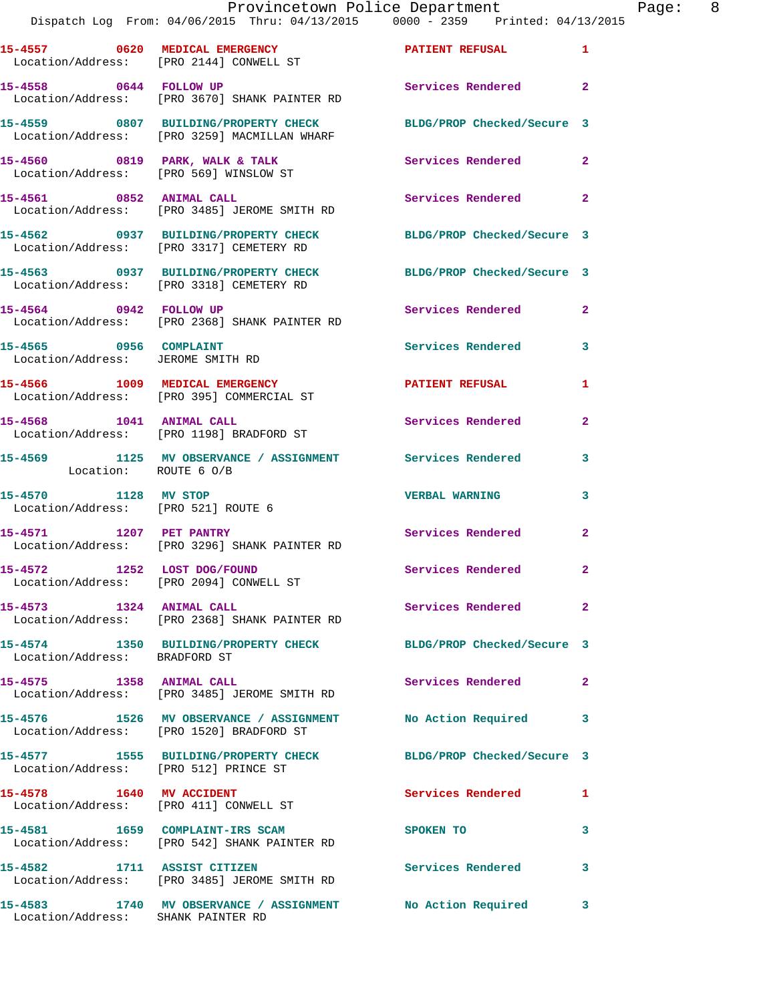## Provincetown Police Department Page: 8 Dispatch Log From: 04/06/2015 Thru: 04/13/2015 0000 - 2359 Printed: 04/13/2015

**15-4557 0620 MEDICAL EMERGENCY PATIENT REFUSAL 1**  Location/Address: [PRO 2144] CONWELL ST **15-4558 0644 FOLLOW UP Services Rendered 2**  Location/Address: [PRO 3670] SHANK PAINTER RD **15-4559 0807 BUILDING/PROPERTY CHECK BLDG/PROP Checked/Secure 3**  Location/Address: [PRO 3259] MACMILLAN WHARF **15-4560 0819 PARK, WALK & TALK Services Rendered 2**  Location/Address: [PRO 569] WINSLOW ST **15-4561 0852 ANIMAL CALL Services Rendered 2**  Location/Address: [PRO 3485] JEROME SMITH RD **15-4562 0937 BUILDING/PROPERTY CHECK BLDG/PROP Checked/Secure 3**  Location/Address: [PRO 3317] CEMETERY RD **15-4563 0937 BUILDING/PROPERTY CHECK BLDG/PROP Checked/Secure 3**  Location/Address: [PRO 3318] CEMETERY RD **15-4564 0942 FOLLOW UP Services Rendered 2**  Location/Address: [PRO 2368] SHANK PAINTER RD 15-4565 0956 COMPLAINT **Services Rendered** 3 Location/Address: JEROME SMITH RD **15-4566 1009 MEDICAL EMERGENCY 1 PATIENT REFUSAL 1**  Location/Address: [PRO 395] COMMERCIAL ST 15-4568 1041 ANIMAL CALL **Services Rendered** 2 Location/Address: [PRO 1198] BRADFORD ST **15-4569 1125 MV OBSERVANCE / ASSIGNMENT Services Rendered 3**  Location: ROUTE 6 O/B **15-4570 1128 MV STOP VERBAL WARNING 3**  Location/Address: [PRO 521] ROUTE 6 **15-4571 1207 PET PANTRY Services Rendered 2**  Location/Address: [PRO 3296] SHANK PAINTER RD **15-4572 1252 LOST DOG/FOUND Services Rendered 2**  Location/Address: [PRO 2094] CONWELL ST **15-4573 1324 ANIMAL CALL Services Rendered 2**  Location/Address: [PRO 2368] SHANK PAINTER RD **15-4574 1350 BUILDING/PROPERTY CHECK BLDG/PROP Checked/Secure 3**  Location/Address: BRADFORD ST **15-4575 1358 ANIMAL CALL Services Rendered 2**  Location/Address: [PRO 3485] JEROME SMITH RD **15-4576 1526 MV OBSERVANCE / ASSIGNMENT No Action Required 3**  Location/Address: [PRO 1520] BRADFORD ST **15-4577 1555 BUILDING/PROPERTY CHECK BLDG/PROP Checked/Secure 3**  Location/Address: [PRO 512] PRINCE ST **15-4578 1640 MV ACCIDENT Services Rendered 1**  Location/Address: [PRO 411] CONWELL ST **15-4581 1659 COMPLAINT-IRS SCAM SPOKEN TO 3**  Location/Address: [PRO 542] SHANK PAINTER RD **15-4582 1711 ASSIST CITIZEN Services Rendered 3**  Location/Address: [PRO 3485] JEROME SMITH RD **15-4583 1740 MV OBSERVANCE / ASSIGNMENT No Action Required 3** 

Location/Address: SHANK PAINTER RD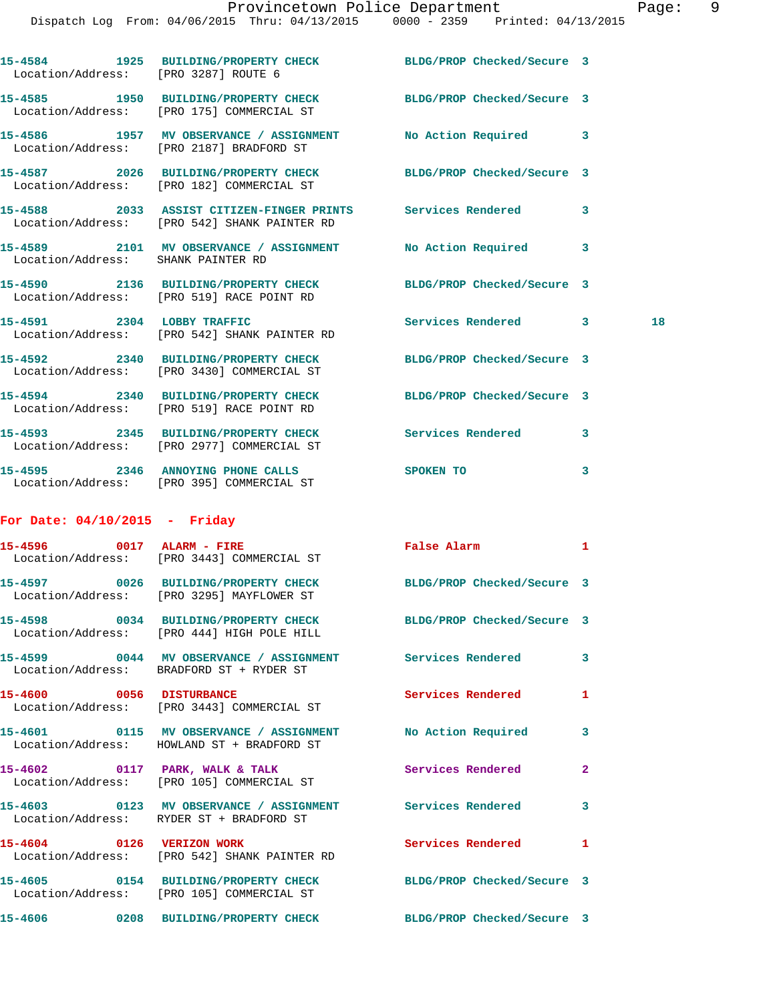| Location/Address: [PRO 3287] ROUTE 6 | 15-4584 1925 BUILDING/PROPERTY CHECK BLDG/PROP Checked/Secure 3                                              |                            |              |
|--------------------------------------|--------------------------------------------------------------------------------------------------------------|----------------------------|--------------|
|                                      | 15-4585 1950 BUILDING/PROPERTY CHECK BLDG/PROP Checked/Secure 3<br>Location/Address: [PRO 175] COMMERCIAL ST |                            |              |
|                                      | 15-4586 1957 MV OBSERVANCE / ASSIGNMENT No Action Required 3<br>Location/Address: [PRO 2187] BRADFORD ST     |                            |              |
|                                      | 15-4587 2026 BUILDING/PROPERTY CHECK BLDG/PROP Checked/Secure 3<br>Location/Address: [PRO 182] COMMERCIAL ST |                            |              |
|                                      | 15-4588 2033 ASSIST CITIZEN-FINGER PRINTS Services Rendered<br>Location/Address: [PRO 542] SHANK PAINTER RD  |                            | 3            |
| Location/Address: SHANK PAINTER RD   | 15-4589 2101 MV OBSERVANCE / ASSIGNMENT No Action Required                                                   |                            | 3            |
|                                      | 15-4590 2136 BUILDING/PROPERTY CHECK<br>Location/Address: [PRO 519] RACE POINT RD                            | BLDG/PROP Checked/Secure 3 |              |
|                                      | 15-4591 2304 LOBBY TRAFFIC<br>Location/Address: [PRO 542] SHANK PAINTER RD                                   | Services Rendered 3        | 18           |
|                                      | 15-4592 2340 BUILDING/PROPERTY CHECK<br>Location/Address: [PRO 3430] COMMERCIAL ST                           | BLDG/PROP Checked/Secure 3 |              |
|                                      | 15-4594 2340 BUILDING/PROPERTY CHECK BLDG/PROP Checked/Secure 3<br>Location/Address: [PRO 519] RACE POINT RD |                            |              |
|                                      | 15-4593 2345 BUILDING/PROPERTY CHECK Services Rendered 3<br>Location/Address: [PRO 2977] COMMERCIAL ST       |                            |              |
|                                      | 15-4595 2346 ANNOYING PHONE CALLS<br>Location/Address: [PRO 395] COMMERCIAL ST                               | <b>SPOKEN TO</b>           | 3            |
| For Date: $04/10/2015$ - Friday      |                                                                                                              |                            |              |
|                                      | 15-4596 0017 ALARM - FIRE<br>Location/Address: [PRO 3443] COMMERCIAL ST                                      | False Alarm                | 1            |
|                                      | 15-4597 0026 BUILDING/PROPERTY CHECK<br>Location/Address: [PRO 3295] MAYFLOWER ST                            | BLDG/PROP Checked/Secure 3 |              |
|                                      | 15-4598 0034 BUILDING/PROPERTY CHECK<br>Location/Address: [PRO 444] HIGH POLE HILL                           | BLDG/PROP Checked/Secure 3 |              |
|                                      | 15-4599 0044 MV OBSERVANCE / ASSIGNMENT Services Rendered<br>Location/Address: BRADFORD ST + RYDER ST        |                            | 3            |
|                                      | 15-4600 0056 DISTURBANCE<br>Location/Address: [PRO 3443] COMMERCIAL ST                                       | Services Rendered          | 1            |
|                                      | 15-4601 0115 MV OBSERVANCE / ASSIGNMENT No Action Required<br>Location/Address: HOWLAND ST + BRADFORD ST     |                            | 3            |
|                                      | 15-4602 0117 PARK, WALK & TALK<br>Location/Address: [PRO 105] COMMERCIAL ST                                  | Services Rendered          | $\mathbf{2}$ |
|                                      | 15-4603  0123 MV OBSERVANCE / ASSIGNMENT Services Rendered<br>Location/Address: RYDER ST + BRADFORD ST       |                            | 3            |
|                                      | 15-4604 0126 VERIZON WORK<br>Location/Address: [PRO 542] SHANK PAINTER RD                                    | <b>Services Rendered</b>   | 1            |
|                                      | 15-4605 0154 BUILDING/PROPERTY CHECK BLDG/PROP Checked/Secure 3<br>Location/Address: [PRO 105] COMMERCIAL ST |                            |              |

**15-4606 0208 BUILDING/PROPERTY CHECK BLDG/PROP Checked/Secure 3**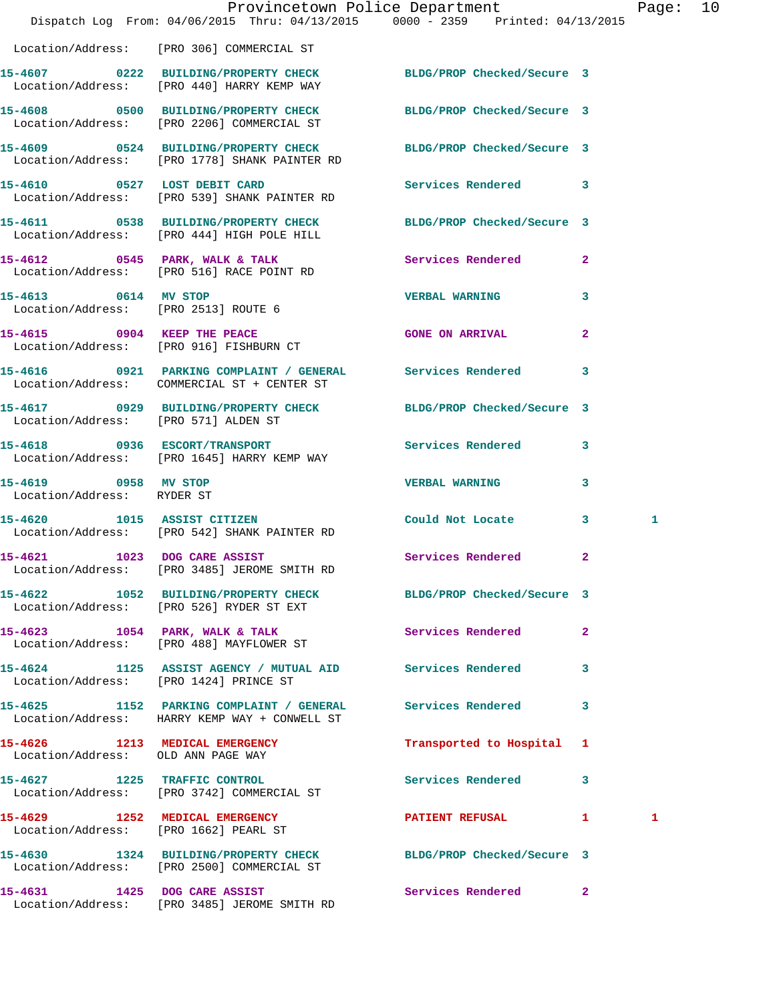|                                                    | Dispatch Log From: 04/06/2015 Thru: 04/13/2015 0000 - 2359 Printed: 04/13/2015                                | Provincetown Police Department Page: 10 |              |   |  |
|----------------------------------------------------|---------------------------------------------------------------------------------------------------------------|-----------------------------------------|--------------|---|--|
|                                                    | Location/Address: [PRO 306] COMMERCIAL ST                                                                     |                                         |              |   |  |
|                                                    | 15-4607 0222 BUILDING/PROPERTY CHECK BLDG/PROP Checked/Secure 3<br>Location/Address: [PRO 440] HARRY KEMP WAY |                                         |              |   |  |
|                                                    | 15-4608 0500 BUILDING/PROPERTY CHECK BLDG/PROP Checked/Secure 3<br>Location/Address: [PRO 2206] COMMERCIAL ST |                                         |              |   |  |
|                                                    | 15-4609 0524 BUILDING/PROPERTY CHECK<br>Location/Address: [PRO 1778] SHANK PAINTER RD                         | BLDG/PROP Checked/Secure 3              |              |   |  |
|                                                    | 15-4610 0527 LOST DEBIT CARD<br>Location/Address: [PRO 539] SHANK PAINTER RD                                  | Services Rendered 3                     |              |   |  |
|                                                    | 15-4611 0538 BUILDING/PROPERTY CHECK<br>Location/Address: [PRO 444] HIGH POLE HILL                            | BLDG/PROP Checked/Secure 3              |              |   |  |
|                                                    | 15-4612 0545 PARK, WALK & TALK<br>Location/Address: [PRO 516] RACE POINT RD                                   | <b>Services Rendered</b> 2              |              |   |  |
| 15-4613 0614 MV STOP                               | Location/Address: [PRO 2513] ROUTE 6                                                                          | <b>VERBAL WARNING</b>                   | $\mathbf{3}$ |   |  |
|                                                    | 15-4615 0904 KEEP THE PEACE<br>Location/Address: [PRO 916] FISHBURN CT                                        | <b>GONE ON ARRIVAL</b>                  | $\mathbf{2}$ |   |  |
|                                                    | 15-4616 0921 PARKING COMPLAINT / GENERAL Services Rendered 3<br>Location/Address: COMMERCIAL ST + CENTER ST   |                                         |              |   |  |
| Location/Address: [PRO 571] ALDEN ST               | 15-4617 0929 BUILDING/PROPERTY CHECK                                                                          | BLDG/PROP Checked/Secure 3              |              |   |  |
|                                                    | 15-4618 0936 ESCORT/TRANSPORT<br>Location/Address: [PRO 1645] HARRY KEMP WAY                                  | Services Rendered 3                     |              |   |  |
| 15-4619 0958 MV STOP<br>Location/Address: RYDER ST |                                                                                                               | <b>VERBAL WARNING</b>                   | 3            |   |  |
|                                                    | 15-4620 1015 ASSIST CITIZEN<br>Location/Address: [PRO 542] SHANK PAINTER RD                                   | Could Not Locate 3                      |              | 1 |  |
|                                                    | 15-4621 1023 DOG CARE ASSIST<br>Location/Address: [PRO 3485] JEROME SMITH RD                                  | Services Rendered                       | $\mathbf{2}$ |   |  |
|                                                    | 15-4622 1052 BUILDING/PROPERTY CHECK BLDG/PROP Checked/Secure 3<br>Location/Address: [PRO 526] RYDER ST EXT   |                                         |              |   |  |
|                                                    | 15-4623 1054 PARK, WALK & TALK<br>Location/Address: [PRO 488] MAYFLOWER ST                                    | Services Rendered 2                     |              |   |  |
|                                                    | 15-4624 1125 ASSIST AGENCY / MUTUAL AID Services Rendered 3<br>Location/Address: [PRO 1424] PRINCE ST         |                                         |              |   |  |
|                                                    | 15-4625 1152 PARKING COMPLAINT / GENERAL Services Rendered 3<br>Location/Address: HARRY KEMP WAY + CONWELL ST |                                         |              |   |  |
|                                                    | 15-4626 1213 MEDICAL EMERGENCY<br>Location/Address: OLD ANN PAGE WAY                                          | Transported to Hospital 1               |              |   |  |
|                                                    | 15-4627 1225 TRAFFIC CONTROL<br>Location/Address: [PRO 3742] COMMERCIAL ST                                    | Services Rendered 3                     |              |   |  |
|                                                    | 15-4629 1252 MEDICAL EMERGENCY PATIENT REFUSAL 1<br>Location/Address: [PRO 1662] PEARL ST                     |                                         |              | 1 |  |
|                                                    | 15-4630 1324 BUILDING/PROPERTY CHECK BLDG/PROP Checked/Secure 3<br>Location/Address: [PRO 2500] COMMERCIAL ST |                                         |              |   |  |
|                                                    | 15-4631 1425 DOG CARE ASSIST<br>Location/Address: [PRO 3485] JEROME SMITH RD                                  | Services Rendered 2                     |              |   |  |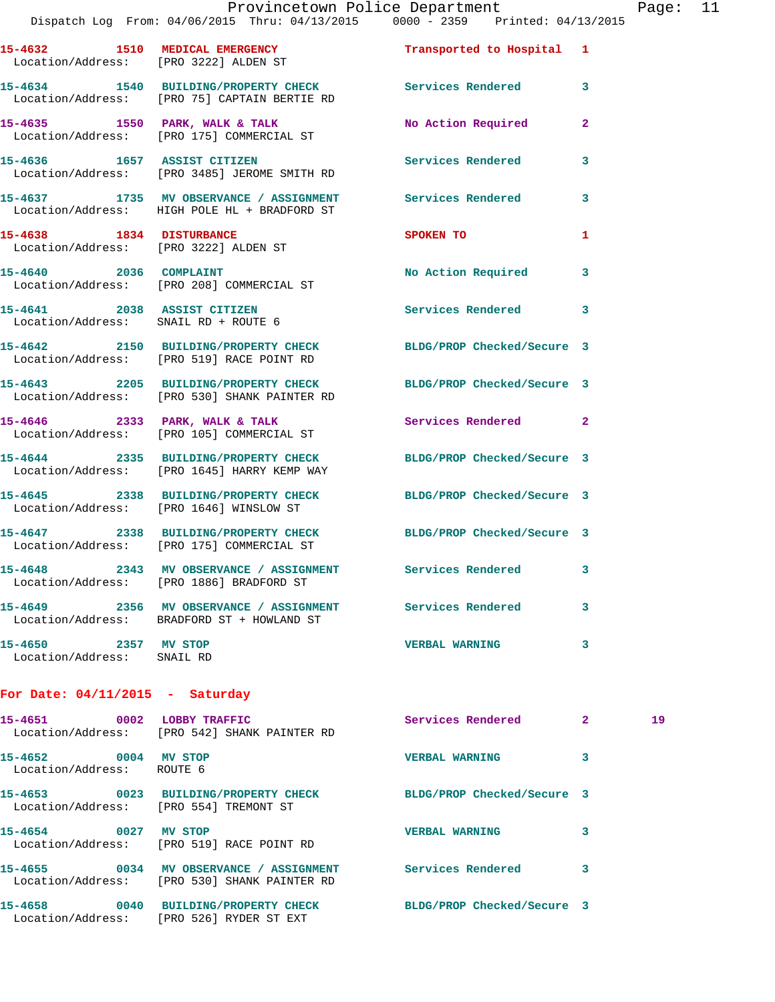## Provincetown Police Department Page: 11

|                                                    | Dispatch Log From: 04/06/2015 Thru: 04/13/2015 0000 - 2359 Printed: 04/13/2015                                  |                            |                |    |
|----------------------------------------------------|-----------------------------------------------------------------------------------------------------------------|----------------------------|----------------|----|
| Location/Address: [PRO 3222] ALDEN ST              | 15-4632 1510 MEDICAL EMERGENCY                                                                                  | Transported to Hospital 1  |                |    |
|                                                    | 15-4634 1540 BUILDING/PROPERTY CHECK Services Rendered 3<br>Location/Address: [PRO 75] CAPTAIN BERTIE RD        |                            |                |    |
|                                                    | 15-4635 1550 PARK, WALK & TALK<br>Location/Address: [PRO 175] COMMERCIAL ST                                     | No Action Required         | $\mathbf{2}$   |    |
|                                                    | 15-4636 1657 ASSIST CITIZEN<br>Location/Address: [PRO 3485] JEROME SMITH RD                                     | Services Rendered          | 3              |    |
|                                                    | 15-4637 1735 MV OBSERVANCE / ASSIGNMENT Services Rendered<br>Location/Address: HIGH POLE HL + BRADFORD ST       |                            | $\mathbf{3}$   |    |
| 15-4638 1834 DISTURBANCE                           | Location/Address: [PRO 3222] ALDEN ST                                                                           | <b>SPOKEN TO</b>           | 1              |    |
| 15-4640 2036 COMPLAINT                             | Location/Address: [PRO 208] COMMERCIAL ST                                                                       | No Action Required 3       |                |    |
| Location/Address: SNAIL RD + ROUTE 6               | 15-4641 2038 ASSIST CITIZEN                                                                                     | Services Rendered          | 3              |    |
|                                                    | 15-4642 2150 BUILDING/PROPERTY CHECK BLDG/PROP Checked/Secure 3<br>Location/Address: [PRO 519] RACE POINT RD    |                            |                |    |
|                                                    | 15-4643 2205 BUILDING/PROPERTY CHECK BLDG/PROP Checked/Secure 3<br>Location/Address: [PRO 530] SHANK PAINTER RD |                            |                |    |
|                                                    | $15-4646$ 2333 PARK, WALK & TALK<br>Location/Address: [PRO 105] COMMERCIAL ST                                   | Services Rendered 2        |                |    |
|                                                    | 15-4644 2335 BUILDING/PROPERTY CHECK BLDG/PROP Checked/Secure 3<br>Location/Address: [PRO 1645] HARRY KEMP WAY  |                            |                |    |
|                                                    | 15-4645 2338 BUILDING/PROPERTY CHECK<br>Location/Address: [PRO 1646] WINSLOW ST                                 | BLDG/PROP Checked/Secure 3 |                |    |
|                                                    | 15-4647 2338 BUILDING/PROPERTY CHECK<br>Location/Address: [PRO 175] COMMERCIAL ST                               | BLDG/PROP Checked/Secure 3 |                |    |
|                                                    | 15-4648 2343 MV OBSERVANCE / ASSIGNMENT Services Rendered 3<br>Location/Address: [PRO 1886] BRADFORD ST         |                            |                |    |
|                                                    | 15-4649 2356 MV OBSERVANCE / ASSIGNMENT Services Rendered<br>Location/Address: BRADFORD ST + HOWLAND ST         |                            | 3              |    |
| 15-4650 2357 MV STOP<br>Location/Address: SNAIL RD |                                                                                                                 | <b>VERBAL WARNING</b>      | 3              |    |
| For Date: $04/11/2015$ - Saturday                  |                                                                                                                 |                            |                |    |
| 15-4651 0002 LOBBY TRAFFIC                         | $\overline{a}$                                                                                                  | Services Rendered          | $\mathbf{2}^-$ | 19 |

| Location/Address:                                         | [PRO 542] SHANK PAINTER RD                                                 |                            |   |
|-----------------------------------------------------------|----------------------------------------------------------------------------|----------------------------|---|
| 15–4652<br>0004<br>Location/Address:                      | MV STOP<br>ROUTE 6                                                         | <b>VERBAL WARNING</b>      | 3 |
| 0023<br>15–4653<br>Location/Address: [PRO 554] TREMONT ST | <b>BUILDING/PROPERTY CHECK</b>                                             | BLDG/PROP Checked/Secure 3 |   |
| 0027<br>15-4654                                           | MV STOP<br>Location/Address: [PRO 519] RACE POINT RD                       | <b>VERBAL WARNING</b>      | 3 |
| 15-4655<br>0034                                           | MV OBSERVANCE / ASSIGNMENT<br>Location/Address: [PRO 530] SHANK PAINTER RD | Services Rendered          | 3 |
| 15-4658<br>0040<br>Location/Address:                      | <b>BUILDING/PROPERTY CHECK</b><br>FRO 5261 RYDER ST EXT                    | BLDG/PROP Checked/Secure 3 |   |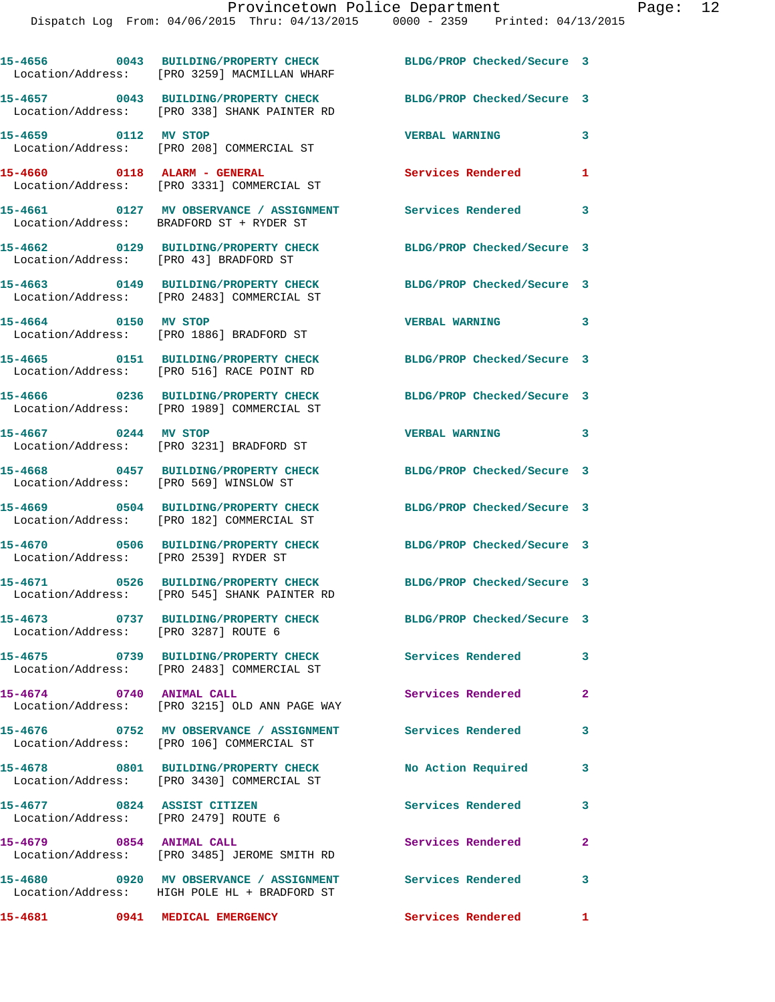**15-4656 0043 BUILDING/PROPERTY CHECK BLDG/PROP Checked/Secure 3**  Location/Address: [PRO 3259] MACMILLAN WHARF **15-4657 0043 BUILDING/PROPERTY CHECK BLDG/PROP Checked/Secure 3**  Location/Address: [PRO 338] SHANK PAINTER RD **15-4659 0112 MV STOP VERBAL WARNING 3**  Location/Address: [PRO 208] COMMERCIAL ST **15-4660 0118 ALARM - GENERAL Services Rendered 1**  Location/Address: [PRO 3331] COMMERCIAL ST **15-4661 0127 MV OBSERVANCE / ASSIGNMENT Services Rendered 3**  Location/Address: BRADFORD ST + RYDER ST **15-4662 0129 BUILDING/PROPERTY CHECK BLDG/PROP Checked/Secure 3**  Location/Address: [PRO 43] BRADFORD ST **15-4663 0149 BUILDING/PROPERTY CHECK BLDG/PROP Checked/Secure 3**  Location/Address: [PRO 2483] COMMERCIAL ST **15-4664 0150 MV STOP VERBAL WARNING 3**  Location/Address: [PRO 1886] BRADFORD ST **15-4665 0151 BUILDING/PROPERTY CHECK BLDG/PROP Checked/Secure 3**  Location/Address: [PRO 516] RACE POINT RD **15-4666 0236 BUILDING/PROPERTY CHECK BLDG/PROP Checked/Secure 3**  Location/Address: [PRO 1989] COMMERCIAL ST **15-4667 0244 MV STOP VERBAL WARNING 3**  Location/Address: [PRO 3231] BRADFORD ST **15-4668 0457 BUILDING/PROPERTY CHECK BLDG/PROP Checked/Secure 3**  Location/Address: [PRO 569] WINSLOW ST **15-4669 0504 BUILDING/PROPERTY CHECK BLDG/PROP Checked/Secure 3**  [PRO 182] COMMERCIAL ST **15-4670 0506 BUILDING/PROPERTY CHECK BLDG/PROP Checked/Secure 3**  Location/Address: [PRO 2539] RYDER ST **15-4671 0526 BUILDING/PROPERTY CHECK BLDG/PROP Checked/Secure 3**  Location/Address: [PRO 545] SHANK PAINTER RD **15-4673 0737 BUILDING/PROPERTY CHECK BLDG/PROP Checked/Secure 3**  Location/Address: [PRO 3287] ROUTE 6 **15-4675 0739 BUILDING/PROPERTY CHECK Services Rendered 3**  Location/Address: [PRO 2483] COMMERCIAL ST **15-4674 0740 ANIMAL CALL Services Rendered 2**  Location/Address: [PRO 3215] OLD ANN PAGE WAY **15-4676 0752 MV OBSERVANCE / ASSIGNMENT Services Rendered 3**  Location/Address: [PRO 106] COMMERCIAL ST **15-4678 0801 BUILDING/PROPERTY CHECK No Action Required 3**  Location/Address: [PRO 3430] COMMERCIAL ST **15-4677 0824 ASSIST CITIZEN Services Rendered 3**  Location/Address: [PRO 2479] ROUTE 6 **15-4679 0854 ANIMAL CALL Services Rendered 2**  Location/Address: [PRO 3485] JEROME SMITH RD **15-4680 0920 MV OBSERVANCE / ASSIGNMENT Services Rendered 3**  Location/Address: HIGH POLE HL + BRADFORD ST **15-4681 0941 MEDICAL EMERGENCY Services Rendered 1**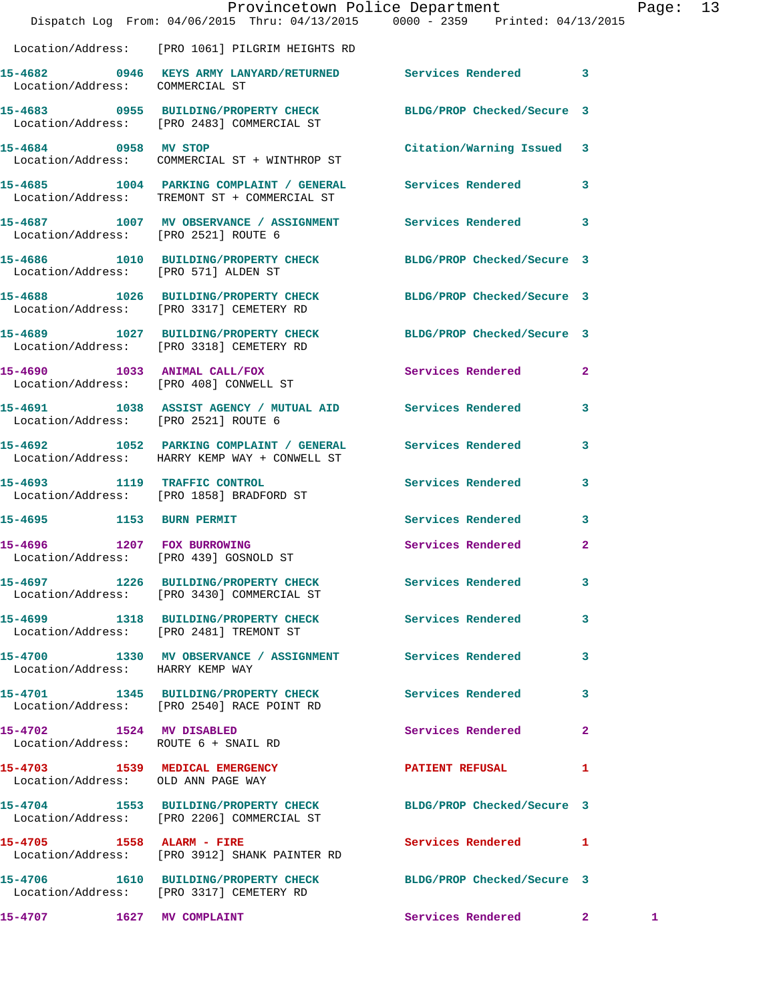|                                      | Dispatch Log From: 04/06/2015 Thru: 04/13/2015 0000 - 2359 Printed: 04/13/2015                                | Provincetown Police Department |              | Page: 13     |  |
|--------------------------------------|---------------------------------------------------------------------------------------------------------------|--------------------------------|--------------|--------------|--|
|                                      | Location/Address: [PRO 1061] PILGRIM HEIGHTS RD                                                               |                                |              |              |  |
| Location/Address: COMMERCIAL ST      | 15-4682 0946 KEYS ARMY LANYARD/RETURNED Services Rendered 3                                                   |                                |              |              |  |
|                                      | 15-4683 0955 BUILDING/PROPERTY CHECK BLDG/PROP Checked/Secure 3<br>Location/Address: [PRO 2483] COMMERCIAL ST |                                |              |              |  |
| 15-4684 0958 MV STOP                 | Location/Address: COMMERCIAL ST + WINTHROP ST                                                                 | Citation/Warning Issued 3      |              |              |  |
|                                      | 15-4685 1004 PARKING COMPLAINT / GENERAL Services Rendered<br>Location/Address: TREMONT ST + COMMERCIAL ST    |                                | $\mathbf{3}$ |              |  |
| Location/Address: [PRO 2521] ROUTE 6 | 15-4687 1007 MV OBSERVANCE / ASSIGNMENT Services Rendered 3                                                   |                                |              |              |  |
|                                      | 15-4686 1010 BUILDING/PROPERTY CHECK BLDG/PROP Checked/Secure 3<br>Location/Address: [PRO 571] ALDEN ST       |                                |              |              |  |
|                                      | 15-4688 1026 BUILDING/PROPERTY CHECK BLDG/PROP Checked/Secure 3<br>Location/Address: [PRO 3317] CEMETERY RD   |                                |              |              |  |
|                                      | 15-4689 1027 BUILDING/PROPERTY CHECK<br>Location/Address: [PRO 3318] CEMETERY RD                              | BLDG/PROP Checked/Secure 3     |              |              |  |
|                                      | 15-4690 1033 ANIMAL CALL/FOX<br>Location/Address: [PRO 408] CONWELL ST                                        | Services Rendered              | $\mathbf{2}$ |              |  |
| Location/Address: [PRO 2521] ROUTE 6 | 15-4691 1038 ASSIST AGENCY / MUTUAL AID Services Rendered 3                                                   |                                |              |              |  |
|                                      | 15-4692 1052 PARKING COMPLAINT / GENERAL Services Rendered<br>Location/Address: HARRY KEMP WAY + CONWELL ST   |                                | 3            |              |  |
|                                      | 15-4693 1119 TRAFFIC CONTROL<br>Location/Address: [PRO 1858] BRADFORD ST                                      | Services Rendered              | 3            |              |  |
|                                      | 15-4695 1153 BURN PERMIT                                                                                      | Services Rendered              | 3            |              |  |
|                                      | 15-4696 1207 FOX BURROWING<br>Location/Address: [PRO 439] GOSNOLD ST                                          | Services Rendered              | 2            |              |  |
|                                      | 15-4697 1226 BUILDING/PROPERTY CHECK Services Rendered<br>Location/Address: [PRO 3430] COMMERCIAL ST          |                                | 3            |              |  |
|                                      | 15-4699 1318 BUILDING/PROPERTY CHECK<br>Location/Address: [PRO 2481] TREMONT ST                               | Services Rendered              | 3            |              |  |
| Location/Address: HARRY KEMP WAY     | 15-4700 1330 MV OBSERVANCE / ASSIGNMENT Services Rendered                                                     |                                | 3            |              |  |
|                                      | 15-4701 1345 BUILDING/PROPERTY CHECK<br>Location/Address: [PRO 2540] RACE POINT RD                            | <b>Services Rendered</b>       | 3            |              |  |
| 15-4702 1524 MV DISABLED             | Location/Address: ROUTE 6 + SNAIL RD                                                                          | Services Rendered              | $\mathbf{2}$ |              |  |
| Location/Address: OLD ANN PAGE WAY   | 15-4703 1539 MEDICAL EMERGENCY                                                                                | PATIENT REFUSAL                | 1            |              |  |
|                                      | 15-4704 1553 BUILDING/PROPERTY CHECK BLDG/PROP Checked/Secure 3<br>Location/Address: [PRO 2206] COMMERCIAL ST |                                |              |              |  |
|                                      | 15-4705 1558 ALARM - FIRE<br>Location/Address: [PRO 3912] SHANK PAINTER RD                                    | Services Rendered 1            |              |              |  |
|                                      | 15-4706 1610 BUILDING/PROPERTY CHECK BLDG/PROP Checked/Secure 3<br>Location/Address: [PRO 3317] CEMETERY RD   |                                |              |              |  |
| 15-4707 1627 MV COMPLAINT            |                                                                                                               | Services Rendered 2            |              | $\mathbf{1}$ |  |
|                                      |                                                                                                               |                                |              |              |  |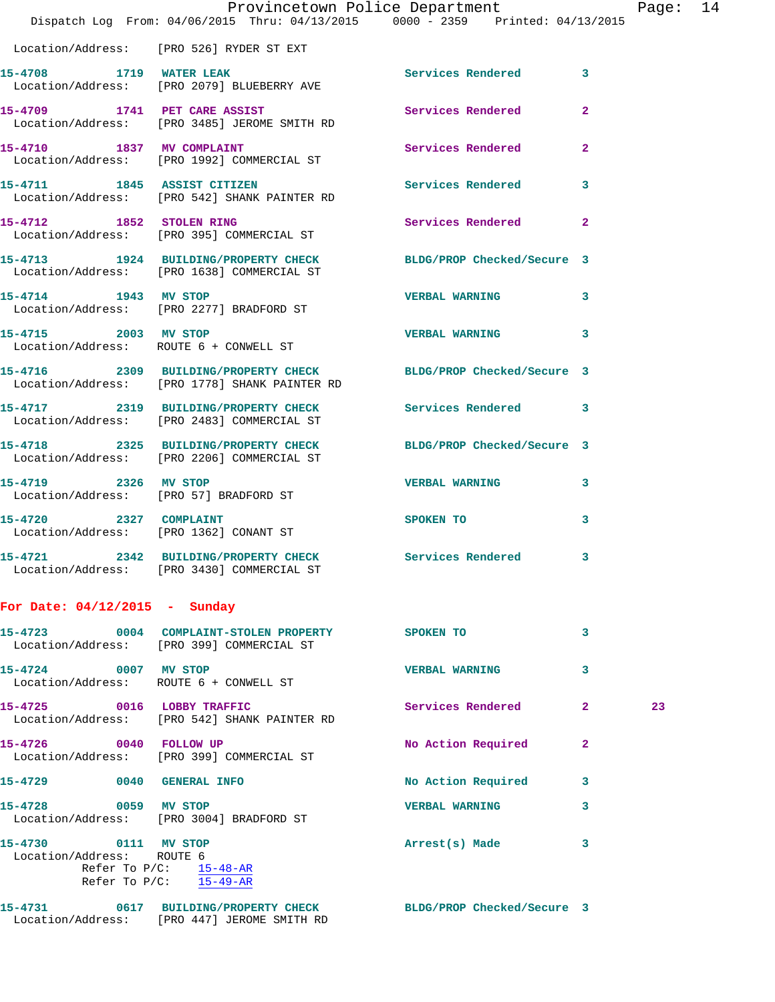|                                 | Provincetown Police Department<br>Dispatch Log From: 04/06/2015 Thru: 04/13/2015 0000 - 2359 Printed: 04/13/2015 |                       |                | Page |
|---------------------------------|------------------------------------------------------------------------------------------------------------------|-----------------------|----------------|------|
|                                 | Location/Address: [PRO 526] RYDER ST EXT                                                                         |                       |                |      |
|                                 | 15-4708 1719 WATER LEAK<br>Location/Address: [PRO 2079] BLUEBERRY AVE                                            | Services Rendered 3   |                |      |
|                                 | 15-4709 1741 PET CARE ASSIST<br>Location/Address: [PRO 3485] JEROME SMITH RD                                     | Services Rendered     | $\overline{2}$ |      |
|                                 | 15-4710 1837 MV COMPLAINT<br>Location/Address: [PRO 1992] COMMERCIAL ST                                          | Services Rendered     | $\mathbf{2}$   |      |
|                                 | 15-4711 1845 ASSIST CITIZEN<br>Location/Address: [PRO 542] SHANK PAINTER RD                                      | Services Rendered     | 3              |      |
| 15-4712 1852 STOLEN RING        | Location/Address: [PRO 395] COMMERCIAL ST                                                                        | Services Rendered 2   |                |      |
|                                 | 15-4713 1924 BUILDING/PROPERTY CHECK BLDG/PROP Checked/Secure 3<br>Location/Address: [PRO 1638] COMMERCIAL ST    |                       |                |      |
| 15-4714 1943 MV STOP            | Location/Address: [PRO 2277] BRADFORD ST                                                                         | <b>VERBAL WARNING</b> | 3              |      |
| 15-4715 2003 MV STOP            | Location/Address: ROUTE 6 + CONWELL ST                                                                           | <b>VERBAL WARNING</b> | 3              |      |
|                                 | 15-4716 2309 BUILDING/PROPERTY CHECK BLDG/PROP Checked/Secure 3<br>Location/Address: [PRO 1778] SHANK PAINTER RD |                       |                |      |
|                                 | 15-4717 2319 BUILDING/PROPERTY CHECK Services Rendered 3<br>Location/Address: [PRO 2483] COMMERCIAL ST           |                       |                |      |
|                                 | 15-4718 2325 BUILDING/PROPERTY CHECK BLDG/PROP Checked/Secure 3<br>Location/Address: [PRO 2206] COMMERCIAL ST    |                       |                |      |
| 15-4719 2326 MV STOP            | Location/Address: [PRO 57] BRADFORD ST                                                                           | <b>VERBAL WARNING</b> | 3              |      |
| 15-4720 2327 COMPLAINT          | Location/Address: [PRO 1362] CONANT ST                                                                           | SPOKEN TO             | 3              |      |
|                                 | 15-4721 2342 BUILDING/PROPERTY CHECK<br>Location/Address: [PRO 3430] COMMERCIAL ST                               | Services Rendered     |                |      |
| For Date: $04/12/2015$ - Sunday |                                                                                                                  |                       |                |      |
|                                 | 15-4723 0004 COMPLAINT-STOLEN PROPERTY<br>Location/Address: [PRO 399] COMMERCIAL ST                              | SPOKEN TO             | 3              |      |
| 15-4724 0007 MV STOP            | Location/Address: ROUTE 6 + CONWELL ST                                                                           | <b>VERBAL WARNING</b> | 3              |      |
| 15-4725 0016 LOBBY TRAFFIC      | Location/Address: [PRO 542] SHANK PAINTER RD                                                                     | Services Rendered     | $\mathbf{2}$   | 23   |
| 15-4726<br>0040 FOLLOW UP       |                                                                                                                  | No Action Required    | $\mathbf{2}$   |      |

Location/Address: [PRO 399] COMMERCIAL ST

**15-4729 0040 GENERAL INFO No Action Required 3** 

**15-4728 0059 MV STOP VERBAL WARNING 3**  Location/Address: [PRO 3004] BRADFORD ST

**15-4730 0111 MV STOP Arrest(s) Made 3**  Location/Address: ROUTE 6 Refer To P/C: 15-48-AR Refer To P/C: 15-49-AR

**15-4731 0617 BUILDING/PROPERTY CHECK BLDG/PROP Checked/Secure 3**  Location/Address: [PRO 447] JEROME SMITH RD

Page: 14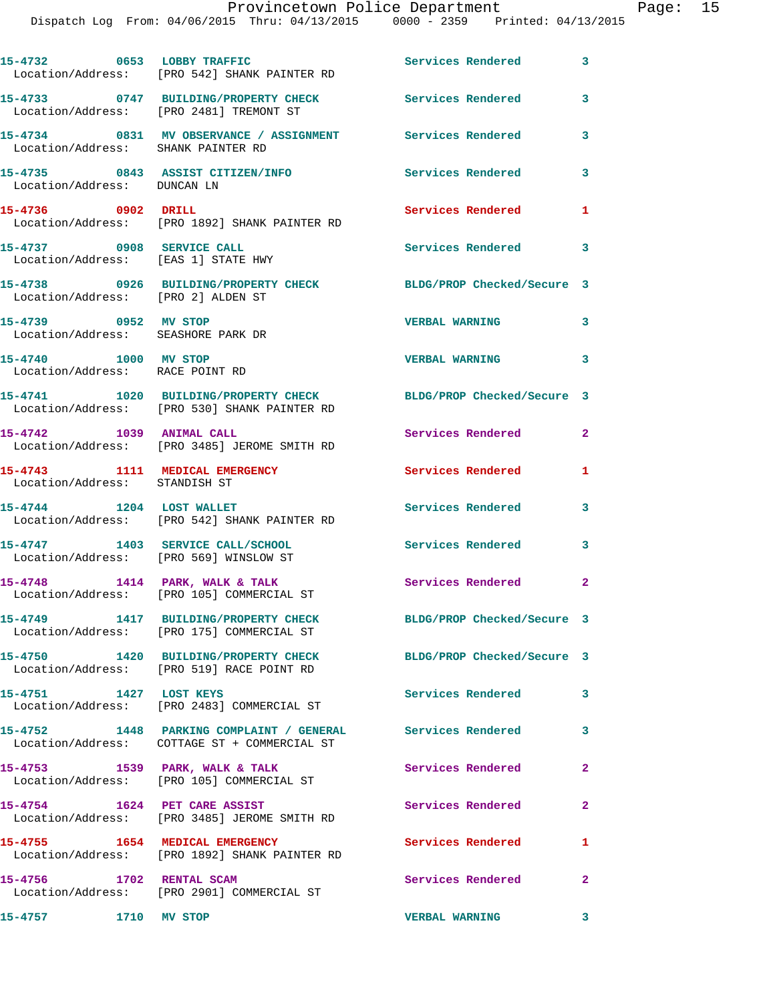|                                                                  | 15-4732 0653 LOBBY TRAFFIC<br>Location/Address: [PRO 542] SHANK PAINTER RD                                      | Services Rendered 3        |                            |
|------------------------------------------------------------------|-----------------------------------------------------------------------------------------------------------------|----------------------------|----------------------------|
|                                                                  | 15-4733 0747 BUILDING/PROPERTY CHECK Services Rendered<br>Location/Address: [PRO 2481] TREMONT ST               |                            | $\mathbf{3}$               |
| Location/Address: SHANK PAINTER RD                               | 15-4734 0831 MV OBSERVANCE / ASSIGNMENT Services Rendered                                                       |                            | 3                          |
| Location/Address: DUNCAN LN                                      | 15-4735 0843 ASSIST CITIZEN/INFO                                                                                | <b>Services Rendered</b>   | 3                          |
| 15-4736 0902 DRILL                                               | Location/Address: [PRO 1892] SHANK PAINTER RD                                                                   | Services Rendered          | 1                          |
| 15-4737 0908 SERVICE CALL<br>Location/Address: [EAS 1] STATE HWY |                                                                                                                 | <b>Services Rendered</b>   | $\overline{\mathbf{3}}$    |
| Location/Address: [PRO 2] ALDEN ST                               | 15-4738 0926 BUILDING/PROPERTY CHECK                                                                            | BLDG/PROP Checked/Secure 3 |                            |
| 15-4739 0952 MV STOP<br>Location/Address: SEASHORE PARK DR       |                                                                                                                 | <b>VERBAL WARNING</b>      | 3                          |
| 15-4740 1000 MV STOP<br>Location/Address: RACE POINT RD          |                                                                                                                 | VERBAL WARNING 3           |                            |
|                                                                  | 15-4741 1020 BUILDING/PROPERTY CHECK BLDG/PROP Checked/Secure 3<br>Location/Address: [PRO 530] SHANK PAINTER RD |                            |                            |
| 15-4742 1039 ANIMAL CALL                                         | Location/Address: [PRO 3485] JEROME SMITH RD                                                                    | Services Rendered          | $\mathbf{2}$               |
| Location/Address: STANDISH ST                                    | 15-4743 1111 MEDICAL EMERGENCY                                                                                  | Services Rendered          | 1                          |
| 15-4744 1204 LOST WALLET                                         | Location/Address: [PRO 542] SHANK PAINTER RD                                                                    | Services Rendered          | 3                          |
| Location/Address: [PRO 569] WINSLOW ST                           | 15-4747 1403 SERVICE CALL/SCHOOL                                                                                | <b>Services Rendered</b>   | 3                          |
|                                                                  | $15-4748$ 1414 PARK, WALK & TALK<br>Location/Address: [PRO 105] COMMERCIAL ST                                   | <b>Services Rendered</b>   | $\overline{\phantom{0}}$ 2 |
|                                                                  | 15-4749 1417 BUILDING/PROPERTY CHECK<br>Location/Address: [PRO 175] COMMERCIAL ST                               | BLDG/PROP Checked/Secure 3 |                            |
|                                                                  | 15-4750 1420 BUILDING/PROPERTY CHECK<br>Location/Address: [PRO 519] RACE POINT RD                               | BLDG/PROP Checked/Secure 3 |                            |
| 15-4751 1427 LOST KEYS                                           | Location/Address: [PRO 2483] COMMERCIAL ST                                                                      | <b>Services Rendered</b>   | 3                          |
|                                                                  | 15-4752 1448 PARKING COMPLAINT / GENERAL Services Rendered 3<br>Location/Address: COTTAGE ST + COMMERCIAL ST    |                            |                            |
|                                                                  | 15-4753 1539 PARK, WALK & TALK<br>Location/Address: [PRO 105] COMMERCIAL ST                                     | <b>Services Rendered</b>   | $\mathbf{2}$               |
| 15-4754 1624 PET CARE ASSIST                                     | Location/Address: [PRO 3485] JEROME SMITH RD                                                                    | Services Rendered          | $\overline{2}$             |
|                                                                  | 15-4755 1654 MEDICAL EMERGENCY<br>Location/Address: [PRO 1892] SHANK PAINTER RD                                 | Services Rendered          | 1                          |
| 15-4756 1702 RENTAL SCAM                                         | Location/Address: [PRO 2901] COMMERCIAL ST                                                                      | Services Rendered          | $\mathbf{2}$               |
| 15-4757<br>1710 MV STOP                                          |                                                                                                                 | <b>VERBAL WARNING</b>      | $\mathbf{3}$               |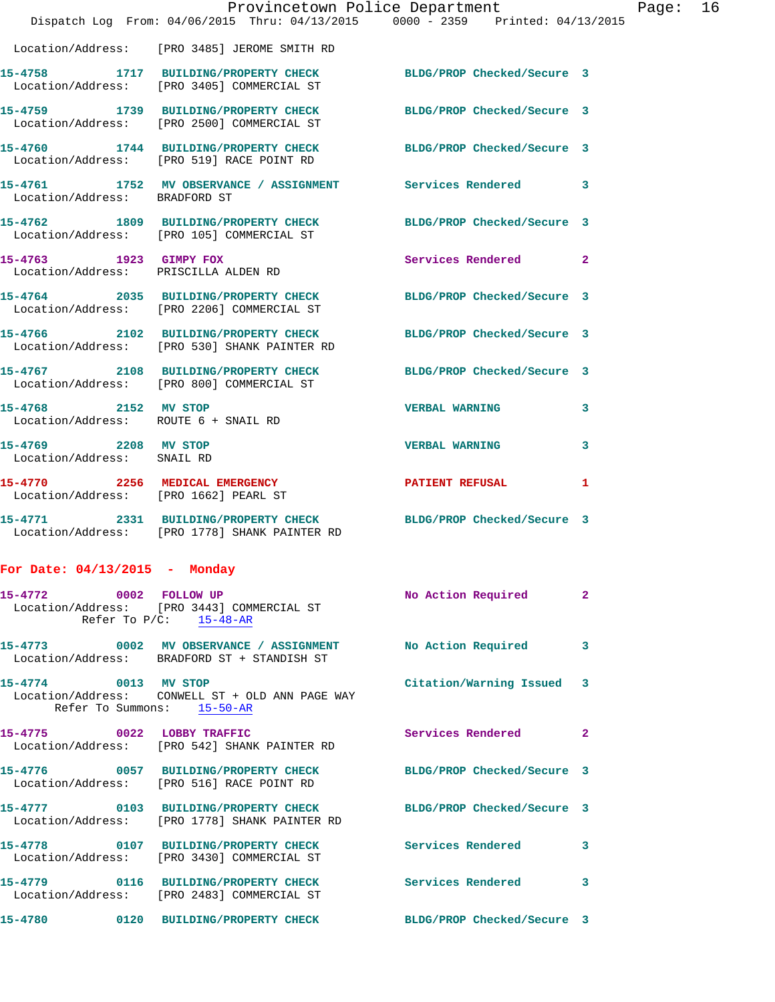|                                                                |                                                                                                                  | Provincetown Police Department Page: 16 |              |  |
|----------------------------------------------------------------|------------------------------------------------------------------------------------------------------------------|-----------------------------------------|--------------|--|
|                                                                | Dispatch Log From: 04/06/2015 Thru: 04/13/2015 0000 - 2359 Printed: 04/13/2015                                   |                                         |              |  |
|                                                                | Location/Address: [PRO 3485] JEROME SMITH RD                                                                     |                                         |              |  |
|                                                                | 15-4758 1717 BUILDING/PROPERTY CHECK BLDG/PROP Checked/Secure 3<br>Location/Address: [PRO 3405] COMMERCIAL ST    |                                         |              |  |
|                                                                | 15-4759 1739 BUILDING/PROPERTY CHECK<br>Location/Address: [PRO 2500] COMMERCIAL ST                               | BLDG/PROP Checked/Secure 3              |              |  |
|                                                                | 15-4760 1744 BUILDING/PROPERTY CHECK BLDG/PROP Checked/Secure 3<br>Location/Address: [PRO 519] RACE POINT RD     |                                         |              |  |
| Location/Address: BRADFORD ST                                  | 15-4761 1752 MV OBSERVANCE / ASSIGNMENT Services Rendered 3                                                      |                                         |              |  |
|                                                                | 15-4762 1809 BUILDING/PROPERTY CHECK BLDG/PROP Checked/Secure 3<br>Location/Address: [PRO 105] COMMERCIAL ST     |                                         |              |  |
| 15-4763 1923 GIMPY FOX<br>Location/Address: PRISCILLA ALDEN RD |                                                                                                                  | Services Rendered 2                     |              |  |
|                                                                | 15-4764 2035 BUILDING/PROPERTY CHECK BLDG/PROP Checked/Secure 3<br>Location/Address: [PRO 2206] COMMERCIAL ST    |                                         |              |  |
|                                                                | 15-4766 2102 BUILDING/PROPERTY CHECK BLDG/PROP Checked/Secure 3<br>Location/Address: [PRO 530] SHANK PAINTER RD  |                                         |              |  |
|                                                                | 15-4767 2108 BUILDING/PROPERTY CHECK BLDG/PROP Checked/Secure 3<br>Location/Address: [PRO 800] COMMERCIAL ST     |                                         |              |  |
| 15-4768 2152 MV STOP<br>Location/Address: ROUTE 6 + SNAIL RD   |                                                                                                                  | <b>VERBAL WARNING</b>                   | 3            |  |
| 15-4769 2208 MV STOP<br>Location/Address: SNAIL RD             |                                                                                                                  | <b>VERBAL WARNING</b>                   | 3            |  |
|                                                                | 15-4770 2256 MEDICAL EMERGENCY PATIENT REFUSAL 1<br>Location/Address: [PRO 1662] PEARL ST                        |                                         |              |  |
|                                                                | 15-4771 2331 BUILDING/PROPERTY CHECK BLDG/PROP Checked/Secure 3<br>Location/Address: [PRO 1778] SHANK PAINTER RD |                                         |              |  |
| For Date: $04/13/2015$ - Monday                                |                                                                                                                  |                                         |              |  |
| 15-4772 0002 FOLLOW UP                                         | Location/Address: [PRO 3443] COMMERCIAL ST<br>Refer To $P/C$ : 15-48-AR                                          | No Action Required                      | 2            |  |
|                                                                | 15-4773 0002 MV OBSERVANCE / ASSIGNMENT<br>Location/Address: BRADFORD ST + STANDISH ST                           | <b>No Action Required</b>               | 3            |  |
| 15-4774 0013 MV STOP                                           | Location/Address: CONWELL ST + OLD ANN PAGE WAY<br>Refer To Summons: 15-50-AR                                    | Citation/Warning Issued 3               |              |  |
| 15-4775 0022 LOBBY TRAFFIC                                     |                                                                                                                  | Services Rendered                       | $\mathbf{2}$ |  |

 Location/Address: [PRO 542] SHANK PAINTER RD **15-4776 0057 BUILDING/PROPERTY CHECK BLDG/PROP Checked/Secure 3**  Location/Address: [PRO 516] RACE POINT RD **15-4777 0103 BUILDING/PROPERTY CHECK BLDG/PROP Checked/Secure 3**  Location/Address: [PRO 1778] SHANK PAINTER RD **15-4778 0107 BUILDING/PROPERTY CHECK Services Rendered 3**  Location/Address: [PRO 3430] COMMERCIAL ST **15-4779 0116 BUILDING/PROPERTY CHECK Services Rendered 3**  Location/Address: [PRO 2483] COMMERCIAL ST **15-4780 0120 BUILDING/PROPERTY CHECK BLDG/PROP Checked/Secure 3**